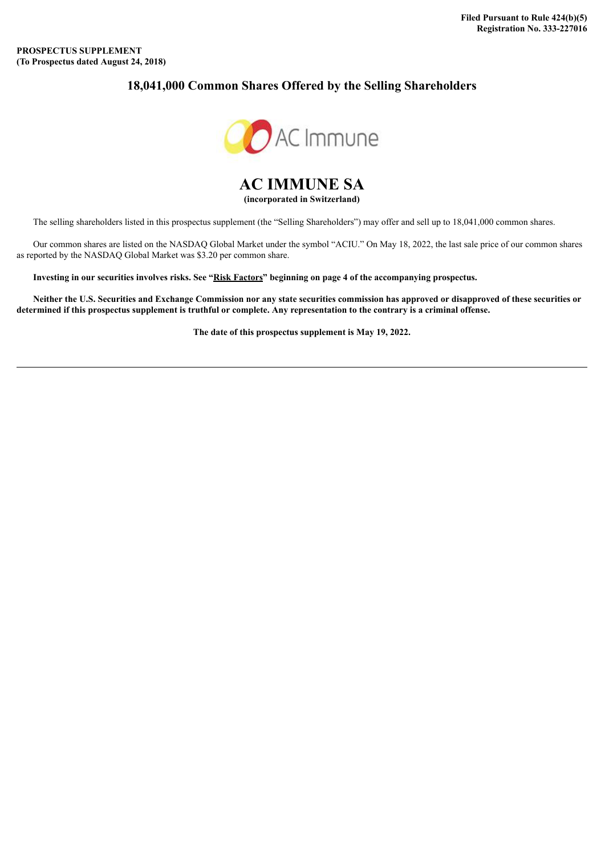# **18,041,000 Common Shares Offered by the Selling Shareholders**



**AC IMMUNE SA (incorporated in Switzerland)**

The selling shareholders listed in this prospectus supplement (the "Selling Shareholders") may offer and sell up to 18,041,000 common shares.

Our common shares are listed on the NASDAQ Global Market under the symbol "ACIU." On May 18, 2022, the last sale price of our common shares as reported by the NASDAQ Global Market was \$3.20 per common share.

Investing in our securities involves risks. See "Risk Factors" beginning on page 4 of the accompanying prospectus.

Neither the U.S. Securities and Exchange Commission nor any state securities commission has approved or disapproved of these securities or determined if this prospectus supplement is truthful or complete. Any representation to the contrary is a criminal offense.

**The date of this prospectus supplement is May 19, 2022.**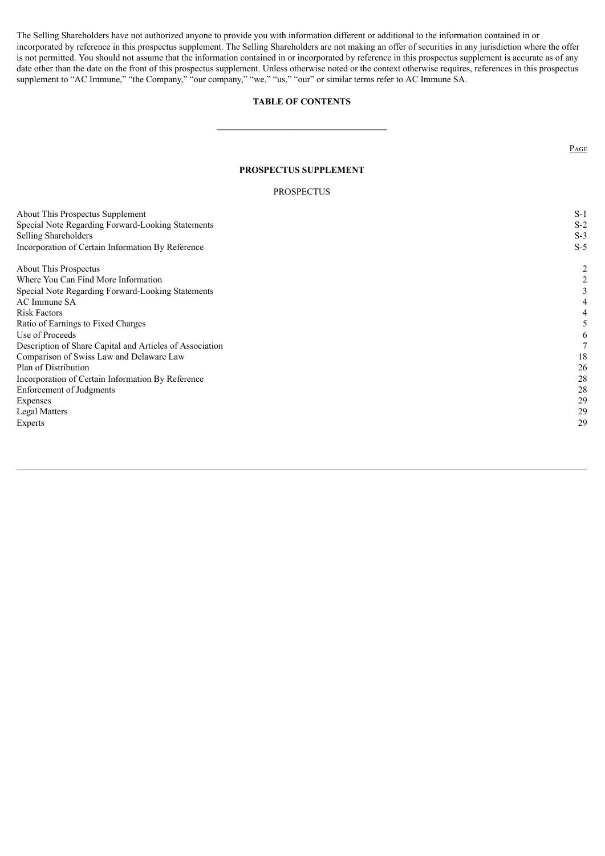The Selling Shareholders have not authorized anyone to provide you with information different or additional to the information contained in or incorporated by reference in this prospectus supplement. The Selling Shareholders are not making an offer of securities in any jurisdiction where the offer is not permitted. You should not assume that the information contained in or incorporated by reference in this prospectus supplement is accurate as of any date other than the date on the front of this prospectus supplement. Unless otherwise noted or the context otherwise requires, references in this prospectus supplement to "AC Immune," "the Company," "our company," "we," "us," "our" or similar terms refer to AC Immune SA.

#### **TABLE OF CONTENTS**

**\_\_\_\_\_\_\_\_\_\_\_\_\_\_\_\_\_\_\_\_\_\_\_\_\_\_\_\_\_\_\_**

PAGE

#### **PROSPECTUS SUPPLEMENT**

#### PROSPECTUS

|                                                          | $S-1$ |
|----------------------------------------------------------|-------|
| About This Prospectus Supplement                         |       |
| Special Note Regarding Forward-Looking Statements        | $S-2$ |
| <b>Selling Shareholders</b>                              | $S-3$ |
| Incorporation of Certain Information By Reference        | $S-5$ |
| About This Prospectus                                    | 2     |
| Where You Can Find More Information                      | 2     |
| Special Note Regarding Forward-Looking Statements        | 3     |
| AC Immune SA                                             |       |
| <b>Risk Factors</b>                                      |       |
| Ratio of Earnings to Fixed Charges                       |       |
| Use of Proceeds                                          | 6     |
| Description of Share Capital and Articles of Association |       |
| Comparison of Swiss Law and Delaware Law                 | 18    |
| Plan of Distribution                                     | 26    |
| Incorporation of Certain Information By Reference        | 28    |
| <b>Enforcement of Judgments</b>                          | 28    |
| Expenses                                                 | 29    |
| <b>Legal Matters</b>                                     | 29    |
| Experts                                                  | 29    |
|                                                          |       |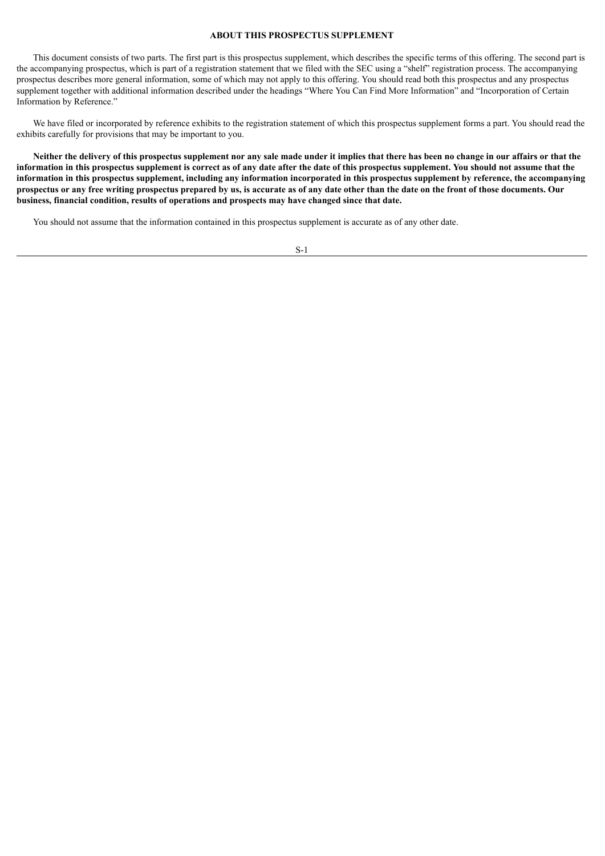### **ABOUT THIS PROSPECTUS SUPPLEMENT**

This document consists of two parts. The first part is this prospectus supplement, which describes the specific terms of this offering. The second part is the accompanying prospectus, which is part of a registration statement that we filed with the SEC using a "shelf" registration process. The accompanying prospectus describes more general information, some of which may not apply to this offering. You should read both this prospectus and any prospectus supplement together with additional information described under the headings "Where You Can Find More Information" and "Incorporation of Certain Information by Reference."

We have filed or incorporated by reference exhibits to the registration statement of which this prospectus supplement forms a part. You should read the exhibits carefully for provisions that may be important to you.

Neither the delivery of this prospectus supplement nor any sale made under it implies that there has been no change in our affairs or that the information in this prospectus supplement is correct as of any date after the date of this prospectus supplement. You should not assume that the information in this prospectus supplement, including any information incorporated in this prospectus supplement by reference, the accompanying prospectus or any free writing prospectus prepared by us, is accurate as of any date other than the date on the front of those documents. Our **business, financial condition, results of operations and prospects may have changed since that date.**

You should not assume that the information contained in this prospectus supplement is accurate as of any other date.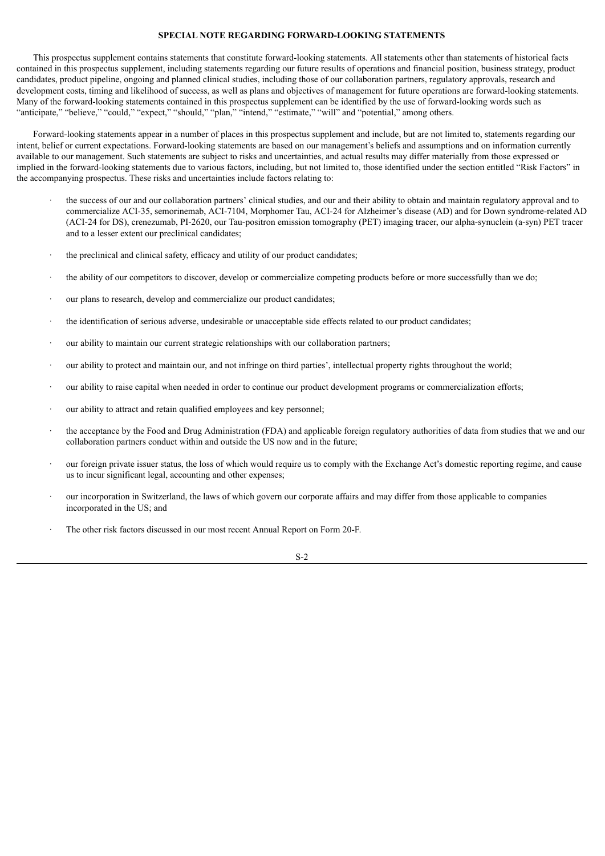#### **SPECIAL NOTE REGARDING FORWARD-LOOKING STATEMENTS**

This prospectus supplement contains statements that constitute forward-looking statements. All statements other than statements of historical facts contained in this prospectus supplement, including statements regarding our future results of operations and financial position, business strategy, product candidates, product pipeline, ongoing and planned clinical studies, including those of our collaboration partners, regulatory approvals, research and development costs, timing and likelihood of success, as well as plans and objectives of management for future operations are forward-looking statements. Many of the forward-looking statements contained in this prospectus supplement can be identified by the use of forward-looking words such as "anticipate," "believe," "could," "expect," "should," "plan," "intend," "estimate," "will" and "potential," among others.

Forward-looking statements appear in a number of places in this prospectus supplement and include, but are not limited to, statements regarding our intent, belief or current expectations. Forward-looking statements are based on our management's beliefs and assumptions and on information currently available to our management. Such statements are subject to risks and uncertainties, and actual results may differ materially from those expressed or implied in the forward-looking statements due to various factors, including, but not limited to, those identified under the section entitled "Risk Factors" in the accompanying prospectus. These risks and uncertainties include factors relating to:

- · the success of our and our collaboration partners' clinical studies, and our and their ability to obtain and maintain regulatory approval and to commercialize ACI-35, semorinemab, ACI-7104, Morphomer Tau, ACI-24 for Alzheimer's disease (AD) and for Down syndrome-related AD (ACI-24 for DS), crenezumab, PI-2620, our Tau-positron emission tomography (PET) imaging tracer, our alpha-synuclein (a-syn) PET tracer and to a lesser extent our preclinical candidates;
- the preclinical and clinical safety, efficacy and utility of our product candidates;
- · the ability of our competitors to discover, develop or commercialize competing products before or more successfully than we do;
- our plans to research, develop and commercialize our product candidates;
- the identification of serious adverse, undesirable or unacceptable side effects related to our product candidates;
- our ability to maintain our current strategic relationships with our collaboration partners;
- · our ability to protect and maintain our, and not infringe on third parties', intellectual property rights throughout the world;
- our ability to raise capital when needed in order to continue our product development programs or commercialization efforts;
- our ability to attract and retain qualified employees and key personnel;
- · the acceptance by the Food and Drug Administration (FDA) and applicable foreign regulatory authorities of data from studies that we and our collaboration partners conduct within and outside the US now and in the future;
- · our foreign private issuer status, the loss of which would require us to comply with the Exchange Act's domestic reporting regime, and cause us to incur significant legal, accounting and other expenses;
- · our incorporation in Switzerland, the laws of which govern our corporate affairs and may differ from those applicable to companies incorporated in the US; and
- The other risk factors discussed in our most recent Annual Report on Form 20-F.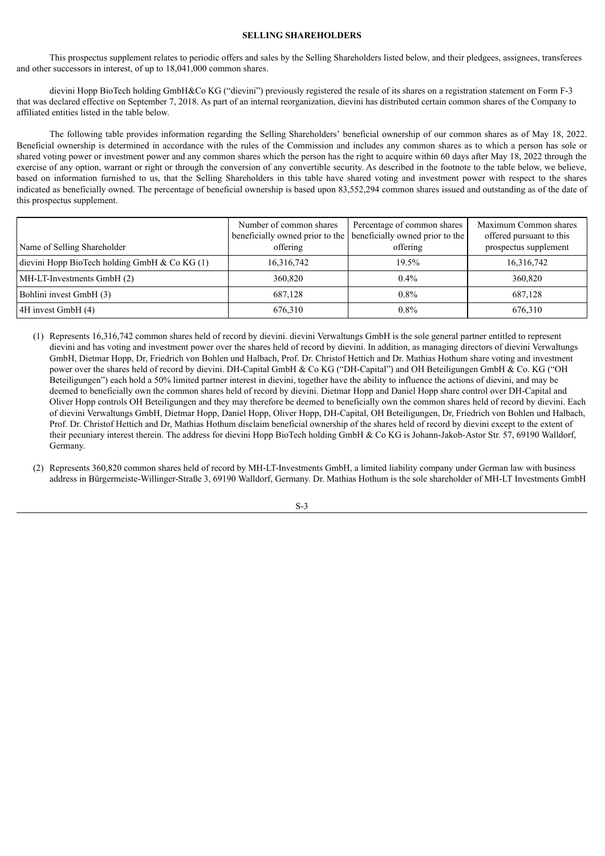#### **SELLING SHAREHOLDERS**

This prospectus supplement relates to periodic offers and sales by the Selling Shareholders listed below, and their pledgees, assignees, transferees and other successors in interest, of up to 18,041,000 common shares.

dievini Hopp BioTech holding GmbH&Co KG ("dievini") previously registered the resale of its shares on a registration statement on Form F-3 that was declared effective on September 7, 2018. As part of an internal reorganization, dievini has distributed certain common shares of the Company to affiliated entities listed in the table below.

The following table provides information regarding the Selling Shareholders' beneficial ownership of our common shares as of May 18, 2022. Beneficial ownership is determined in accordance with the rules of the Commission and includes any common shares as to which a person has sole or shared voting power or investment power and any common shares which the person has the right to acquire within 60 days after May 18, 2022 through the exercise of any option, warrant or right or through the conversion of any convertible security. As described in the footnote to the table below, we believe, based on information furnished to us, that the Selling Shareholders in this table have shared voting and investment power with respect to the shares indicated as beneficially owned. The percentage of beneficial ownership is based upon 83,552,294 common shares issued and outstanding as of the date of this prospectus supplement.

| Name of Selling Shareholder                   | Number of common shares<br>offering | Percentage of common shares<br>beneficially owned prior to the beneficially owned prior to the<br>offering | Maximum Common shares<br>offered pursuant to this<br>prospectus supplement |
|-----------------------------------------------|-------------------------------------|------------------------------------------------------------------------------------------------------------|----------------------------------------------------------------------------|
| dievini Hopp BioTech holding GmbH $& CoKG(1)$ | 16,316,742                          | 19.5%                                                                                                      | 16,316,742                                                                 |
| MH-LT-Investments GmbH (2)                    | 360,820                             | $0.4\%$                                                                                                    | 360,820                                                                    |
| Bohlini invest GmbH (3)                       | 687.128                             | $0.8\%$                                                                                                    | 687.128                                                                    |
| 4H invest GmbH (4)                            | 676.310                             | $0.8\%$                                                                                                    | 676,310                                                                    |

- (1) Represents 16,316,742 common shares held of record by dievini. dievini Verwaltungs GmbH is the sole general partner entitled to represent dievini and has voting and investment power over the shares held of record by dievini. In addition, as managing directors of dievini Verwaltungs GmbH, Dietmar Hopp, Dr, Friedrich von Bohlen und Halbach, Prof. Dr. Christof Hettich and Dr. Mathias Hothum share voting and investment power over the shares held of record by dievini. DH-Capital GmbH & Co KG ("DH-Capital") and OH Beteiligungen GmbH & Co. KG ("OH Beteiligungen") each hold a 50% limited partner interest in dievini, together have the ability to influence the actions of dievini, and may be deemed to beneficially own the common shares held of record by dievini. Dietmar Hopp and Daniel Hopp share control over DH-Capital and Oliver Hopp controls OH Beteiligungen and they may therefore be deemed to beneficially own the common shares held of record by dievini. Each of dievini Verwaltungs GmbH, Dietmar Hopp, Daniel Hopp, Oliver Hopp, DH-Capital, OH Beteiligungen, Dr, Friedrich von Bohlen und Halbach, Prof. Dr. Christof Hettich and Dr, Mathias Hothum disclaim beneficial ownership of the shares held of record by dievini except to the extent of their pecuniary interest therein. The address for dievini Hopp BioTech holding GmbH & Co KG is Johann-Jakob-Astor Str. 57, 69190 Walldorf, Germany.
- (2) Represents 360,820 common shares held of record by MH-LT-Investments GmbH, a limited liability company under German law with business address in Bürgermeiste-Willinger-Straße 3, 69190 Walldorf, Germany. Dr. Mathias Hothum is the sole shareholder of MH-LT Investments GmbH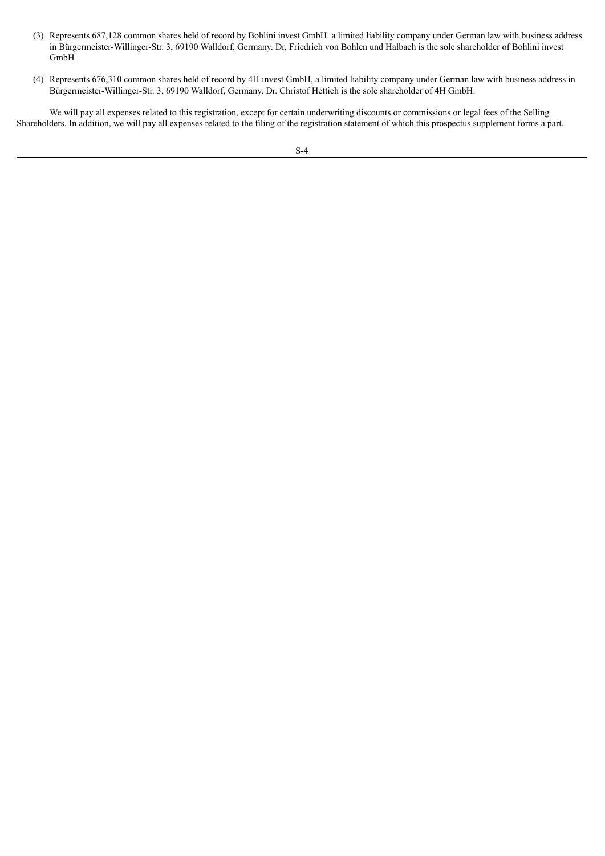- (3) Represents 687,128 common shares held of record by Bohlini invest GmbH. a limited liability company under German law with business address in Bürgermeister-Willinger-Str. 3, 69190 Walldorf, Germany. Dr, Friedrich von Bohlen und Halbach is the sole shareholder of Bohlini invest GmbH
- (4) Represents 676,310 common shares held of record by 4H invest GmbH, a limited liability company under German law with business address in Bürgermeister-Willinger-Str. 3, 69190 Walldorf, Germany. Dr. Christof Hettich is the sole shareholder of 4H GmbH.

We will pay all expenses related to this registration, except for certain underwriting discounts or commissions or legal fees of the Selling Shareholders. In addition, we will pay all expenses related to the filing of the registration statement of which this prospectus supplement forms a part.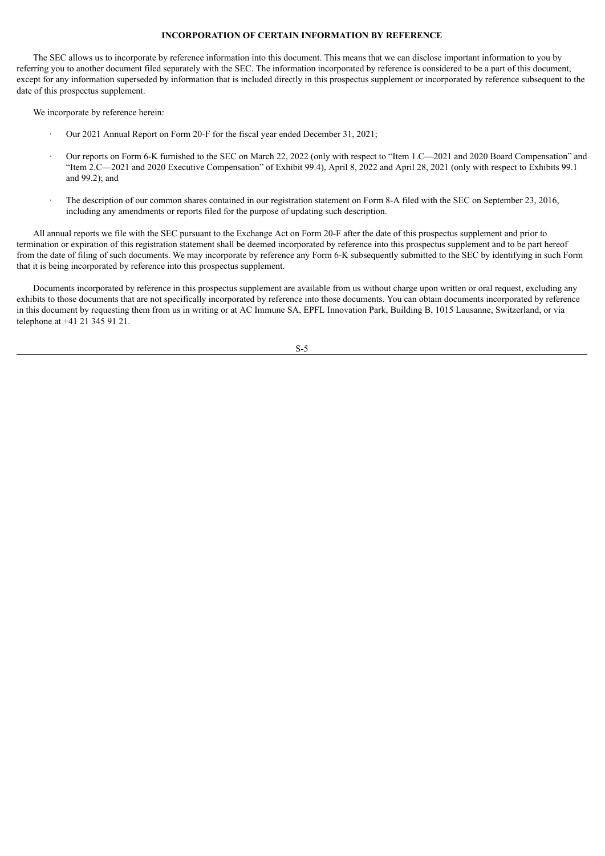#### **INCORPORATION OF CERTAIN INFORMATION BY REFERENCE**

The SEC allows us to incorporate by reference information into this document. This means that we can disclose important information to you by referring you to another document filed separately with the SEC. The information incorporated by reference is considered to be a part of this document, except for any information superseded by information that is included directly in this prospectus supplement or incorporated by reference subsequent to the date of this prospectus supplement.

We incorporate by reference herein:

- · Our 2021 Annual Report on Form 20-F for the fiscal year ended December 31, 2021;
- · Our reports on Form 6-K furnished to the SEC on March 22, 2022 (only with respect to "Item 1.C—2021 and 2020 Board Compensation" and "Item 2.C—2021 and 2020 Executive Compensation" of Exhibit 99.4), April 8, 2022 and April 28, 2021 (only with respect to Exhibits 99.1 and 99.2); and
- · The description of our common shares contained in our registration statement on Form 8-A filed with the SEC on September 23, 2016, including any amendments or reports filed for the purpose of updating such description.

All annual reports we file with the SEC pursuant to the Exchange Act on Form 20-F after the date of this prospectus supplement and prior to termination or expiration of this registration statement shall be deemed incorporated by reference into this prospectus supplement and to be part hereof from the date of filing of such documents. We may incorporate by reference any Form 6-K subsequently submitted to the SEC by identifying in such Form that it is being incorporated by reference into this prospectus supplement.

Documents incorporated by reference in this prospectus supplement are available from us without charge upon written or oral request, excluding any exhibits to those documents that are not specifically incorporated by reference into those documents. You can obtain documents incorporated by reference in this document by requesting them from us in writing or at AC Immune SA, EPFL Innovation Park, Building B, 1015 Lausanne, Switzerland, or via telephone at +41 21 345 91 21.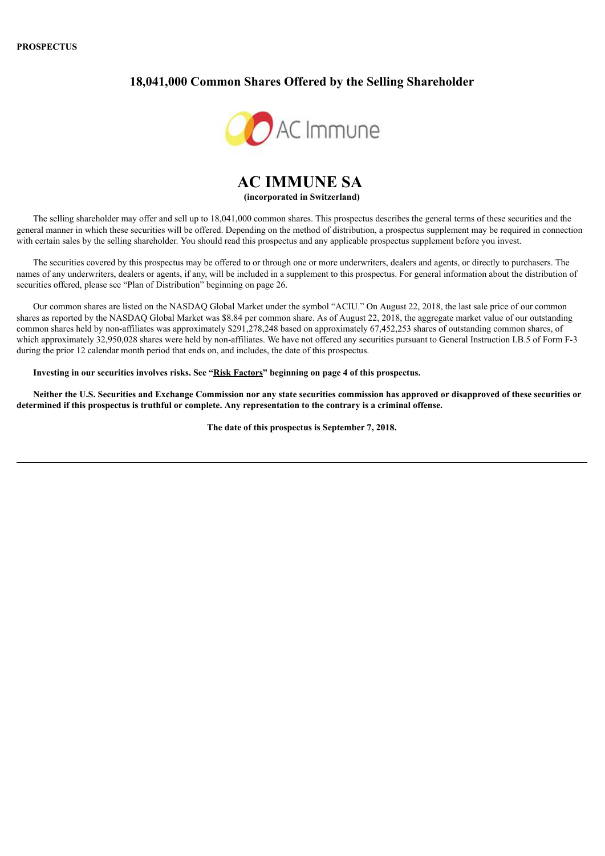#### **PROSPECTUS**

# **18,041,000 Common Shares Offered by the Selling Shareholder**



# **AC IMMUNE SA (incorporated in Switzerland)**

The selling shareholder may offer and sell up to 18,041,000 common shares. This prospectus describes the general terms of these securities and the general manner in which these securities will be offered. Depending on the method of distribution, a prospectus supplement may be required in connection with certain sales by the selling shareholder. You should read this prospectus and any applicable prospectus supplement before you invest.

The securities covered by this prospectus may be offered to or through one or more underwriters, dealers and agents, or directly to purchasers. The names of any underwriters, dealers or agents, if any, will be included in a supplement to this prospectus. For general information about the distribution of securities offered, please see "Plan of Distribution" beginning on page 26.

Our common shares are listed on the NASDAQ Global Market under the symbol "ACIU." On August 22, 2018, the last sale price of our common shares as reported by the NASDAQ Global Market was \$8.84 per common share. As of August 22, 2018, the aggregate market value of our outstanding common shares held by non-affiliates was approximately \$291,278,248 based on approximately 67,452,253 shares of outstanding common shares, of which approximately 32,950,028 shares were held by non-affiliates. We have not offered any securities pursuant to General Instruction I.B.5 of Form F-3 during the prior 12 calendar month period that ends on, and includes, the date of this prospectus.

**Investing in our securities involves risks. See "Risk Factors" beginning on page 4 of this prospectus.**

Neither the U.S. Securities and Exchange Commission nor any state securities commission has approved or disapproved of these securities or determined if this prospectus is truthful or complete. Any representation to the contrary is a criminal offense.

**The date of this prospectus is September 7, 2018.**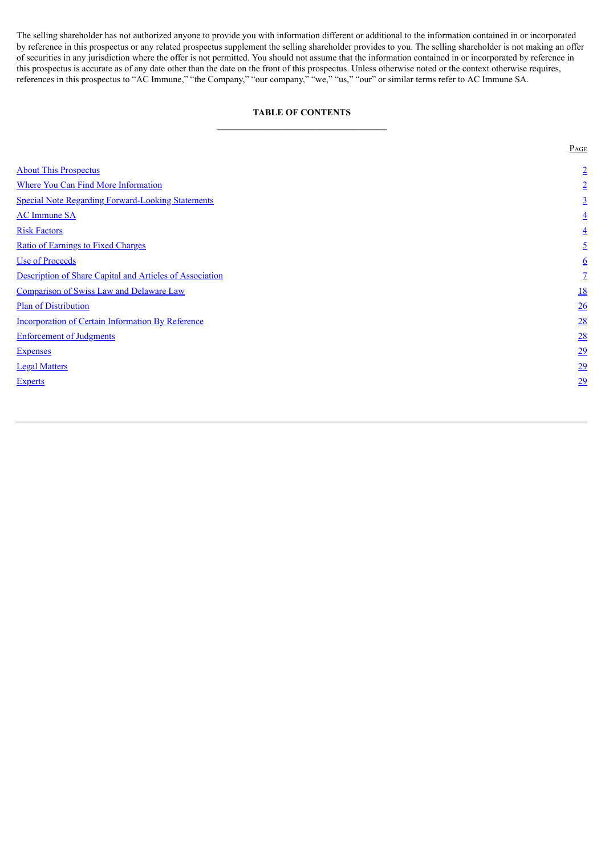The selling shareholder has not authorized anyone to provide you with information different or additional to the information contained in or incorporated by reference in this prospectus or any related prospectus supplement the selling shareholder provides to you. The selling shareholder is not making an offer of securities in any jurisdiction where the offer is not permitted. You should not assume that the information contained in or incorporated by reference in this prospectus is accurate as of any date other than the date on the front of this prospectus. Unless otherwise noted or the context otherwise requires, references in this prospectus to "AC Immune," "the Company," "our company," "we," "us," "our" or similar terms refer to AC Immune SA.

# **TABLE OF CONTENTS \_\_\_\_\_\_\_\_\_\_\_\_\_\_\_\_\_\_\_\_\_\_\_\_\_\_\_\_\_\_\_**

<span id="page-8-0"></span>

|                                                          | PAGE            |
|----------------------------------------------------------|-----------------|
| <b>About This Prospectus</b>                             | $\overline{2}$  |
| <b>Where You Can Find More Information</b>               | $\overline{2}$  |
| <b>Special Note Regarding Forward-Looking Statements</b> | $\overline{3}$  |
| <b>AC</b> Immune SA                                      | $\overline{4}$  |
| <b>Risk Factors</b>                                      | $\overline{4}$  |
| <b>Ratio of Earnings to Fixed Charges</b>                | $\overline{2}$  |
| <b>Use of Proceeds</b>                                   | $6\overline{6}$ |
| Description of Share Capital and Articles of Association | $\mathcal{I}$   |
| Comparison of Swiss Law and Delaware Law                 | <u>18</u>       |
| <b>Plan of Distribution</b>                              | 26              |
| <b>Incorporation of Certain Information By Reference</b> | 28              |
| <b>Enforcement of Judgments</b>                          | 28              |
| <b>Expenses</b>                                          | 29              |
| <b>Legal Matters</b>                                     | $\overline{29}$ |
| <b>Experts</b>                                           | 29              |
|                                                          |                 |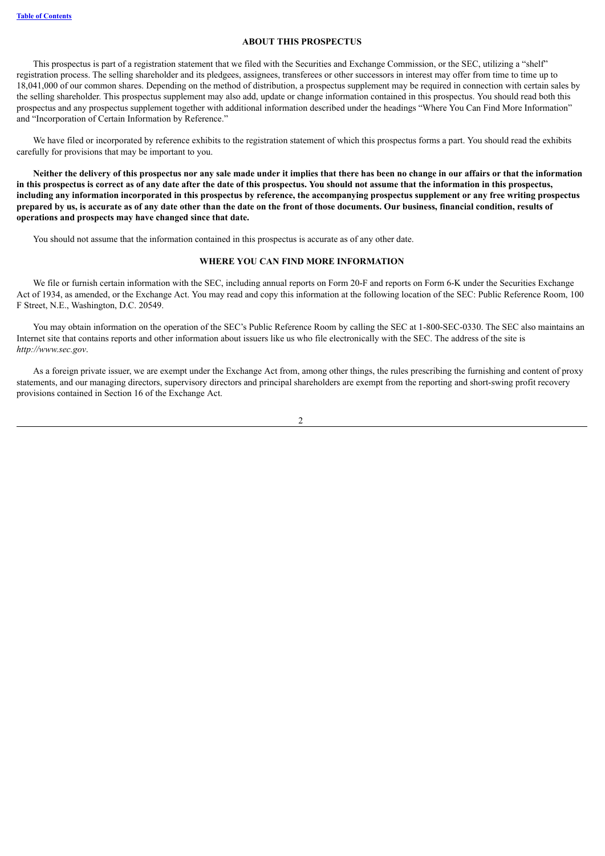#### **ABOUT THIS PROSPECTUS**

<span id="page-9-0"></span>This prospectus is part of a registration statement that we filed with the Securities and Exchange Commission, or the SEC, utilizing a "shelf" registration process. The selling shareholder and its pledgees, assignees, transferees or other successors in interest may offer from time to time up to 18,041,000 of our common shares. Depending on the method of distribution, a prospectus supplement may be required in connection with certain sales by the selling shareholder. This prospectus supplement may also add, update or change information contained in this prospectus. You should read both this prospectus and any prospectus supplement together with additional information described under the headings "Where You Can Find More Information" and "Incorporation of Certain Information by Reference."

We have filed or incorporated by reference exhibits to the registration statement of which this prospectus forms a part. You should read the exhibits carefully for provisions that may be important to you.

Neither the delivery of this prospectus nor any sale made under it implies that there has been no change in our affairs or that the information in this prospectus is correct as of any date after the date of this prospectus. You should not assume that the information in this prospectus, including any information incorporated in this prospectus by reference, the accompanying prospectus supplement or any free writing prospectus prepared by us, is accurate as of any date other than the date on the front of those documents. Our business, financial condition, results of **operations and prospects may have changed since that date.**

You should not assume that the information contained in this prospectus is accurate as of any other date.

#### **WHERE YOU CAN FIND MORE INFORMATION**

<span id="page-9-1"></span>We file or furnish certain information with the SEC, including annual reports on Form 20-F and reports on Form 6-K under the Securities Exchange Act of 1934, as amended, or the Exchange Act. You may read and copy this information at the following location of the SEC: Public Reference Room, 100 F Street, N.E., Washington, D.C. 20549.

You may obtain information on the operation of the SEC's Public Reference Room by calling the SEC at 1-800-SEC-0330. The SEC also maintains an Internet site that contains reports and other information about issuers like us who file electronically with the SEC. The address of the site is *http://www.sec.gov*.

As a foreign private issuer, we are exempt under the Exchange Act from, among other things, the rules prescribing the furnishing and content of proxy statements, and our managing directors, supervisory directors and principal shareholders are exempt from the reporting and short-swing profit recovery provisions contained in Section 16 of the Exchange Act.

 $\overline{2}$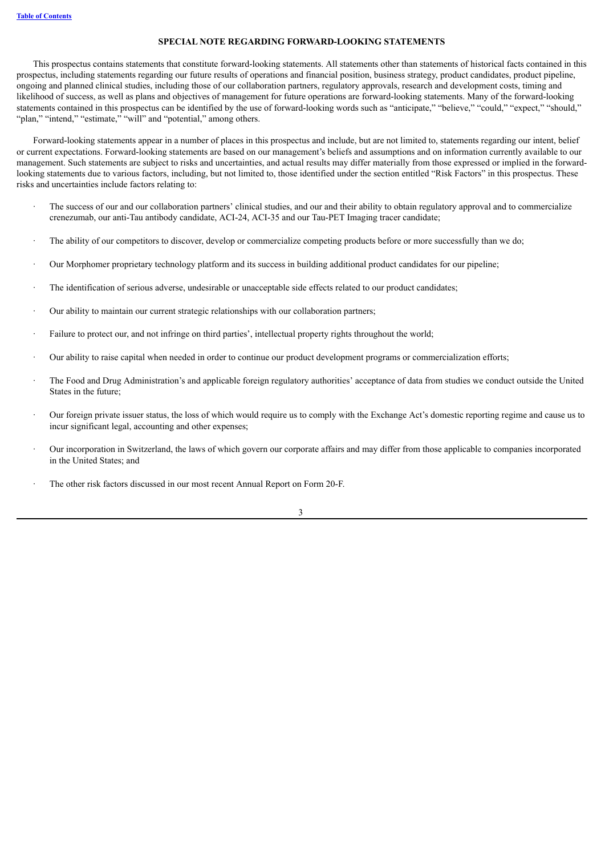#### **SPECIAL NOTE REGARDING FORWARD-LOOKING STATEMENTS**

<span id="page-10-0"></span>This prospectus contains statements that constitute forward-looking statements. All statements other than statements of historical facts contained in this prospectus, including statements regarding our future results of operations and financial position, business strategy, product candidates, product pipeline, ongoing and planned clinical studies, including those of our collaboration partners, regulatory approvals, research and development costs, timing and likelihood of success, as well as plans and objectives of management for future operations are forward-looking statements. Many of the forward-looking statements contained in this prospectus can be identified by the use of forward-looking words such as "anticipate," "believe," "could," "expect," "should," "plan," "intend," "estimate," "will" and "potential," among others.

Forward-looking statements appear in a number of places in this prospectus and include, but are not limited to, statements regarding our intent, belief or current expectations. Forward-looking statements are based on our management's beliefs and assumptions and on information currently available to our management. Such statements are subject to risks and uncertainties, and actual results may differ materially from those expressed or implied in the forwardlooking statements due to various factors, including, but not limited to, those identified under the section entitled "Risk Factors" in this prospectus. These risks and uncertainties include factors relating to:

- The success of our and our collaboration partners' clinical studies, and our and their ability to obtain regulatory approval and to commercialize crenezumab, our anti-Tau antibody candidate, ACI-24, ACI-35 and our Tau-PET Imaging tracer candidate;
- The ability of our competitors to discover, develop or commercialize competing products before or more successfully than we do;
- · Our Morphomer proprietary technology platform and its success in building additional product candidates for our pipeline;
- · The identification of serious adverse, undesirable or unacceptable side effects related to our product candidates;
- Our ability to maintain our current strategic relationships with our collaboration partners;
- Failure to protect our, and not infringe on third parties', intellectual property rights throughout the world;
- · Our ability to raise capital when needed in order to continue our product development programs or commercialization efforts;
- · The Food and Drug Administration's and applicable foreign regulatory authorities' acceptance of data from studies we conduct outside the United States in the future;
- · Our foreign private issuer status, the loss of which would require us to comply with the Exchange Act's domestic reporting regime and cause us to incur significant legal, accounting and other expenses;
- · Our incorporation in Switzerland, the laws of which govern our corporate affairs and may differ from those applicable to companies incorporated in the United States; and
- The other risk factors discussed in our most recent Annual Report on Form 20-F.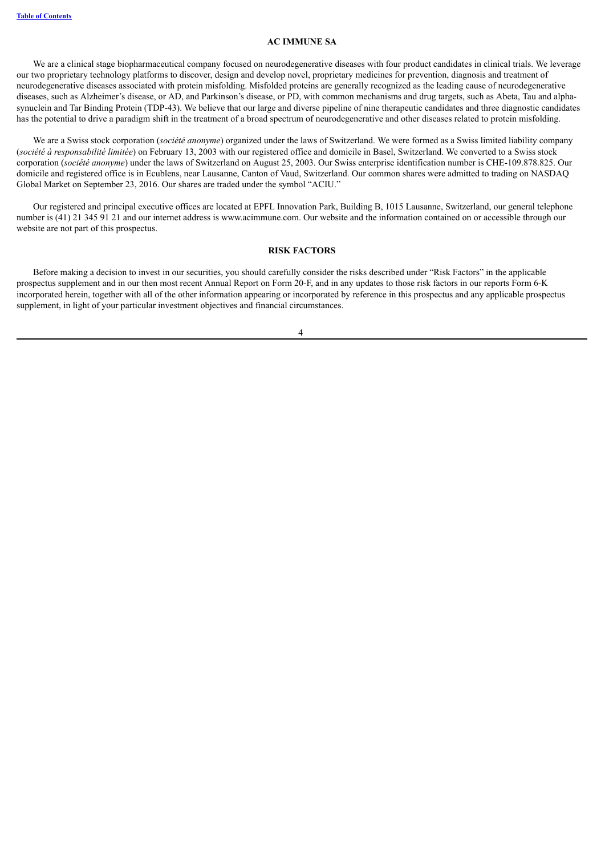#### **AC IMMUNE SA**

<span id="page-11-0"></span>We are a clinical stage biopharmaceutical company focused on neurodegenerative diseases with four product candidates in clinical trials. We leverage our two proprietary technology platforms to discover, design and develop novel, proprietary medicines for prevention, diagnosis and treatment of neurodegenerative diseases associated with protein misfolding. Misfolded proteins are generally recognized as the leading cause of neurodegenerative diseases, such as Alzheimer's disease, or AD, and Parkinson's disease, or PD, with common mechanisms and drug targets, such as Abeta, Tau and alphasynuclein and Tar Binding Protein (TDP-43). We believe that our large and diverse pipeline of nine therapeutic candidates and three diagnostic candidates has the potential to drive a paradigm shift in the treatment of a broad spectrum of neurodegenerative and other diseases related to protein misfolding.

We are a Swiss stock corporation (*société anonyme*) organized under the laws of Switzerland. We were formed as a Swiss limited liability company (*société à responsabilité limitée*) on February 13, 2003 with our registered office and domicile in Basel, Switzerland. We converted to a Swiss stock corporation (*société anonyme*) under the laws of Switzerland on August 25, 2003. Our Swiss enterprise identification number is CHE-109.878.825. Our domicile and registered office is in Ecublens, near Lausanne, Canton of Vaud, Switzerland. Our common shares were admitted to trading on NASDAQ Global Market on September 23, 2016. Our shares are traded under the symbol "ACIU."

Our registered and principal executive offices are located at EPFL Innovation Park, Building B, 1015 Lausanne, Switzerland, our general telephone number is (41) 21 345 91 21 and our internet address is www.acimmune.com. Our website and the information contained on or accessible through our website are not part of this prospectus.

#### **RISK FACTORS**

<span id="page-11-1"></span>Before making a decision to invest in our securities, you should carefully consider the risks described under "Risk Factors" in the applicable prospectus supplement and in our then most recent Annual Report on Form 20-F, and in any updates to those risk factors in our reports Form 6-K incorporated herein, together with all of the other information appearing or incorporated by reference in this prospectus and any applicable prospectus supplement, in light of your particular investment objectives and financial circumstances.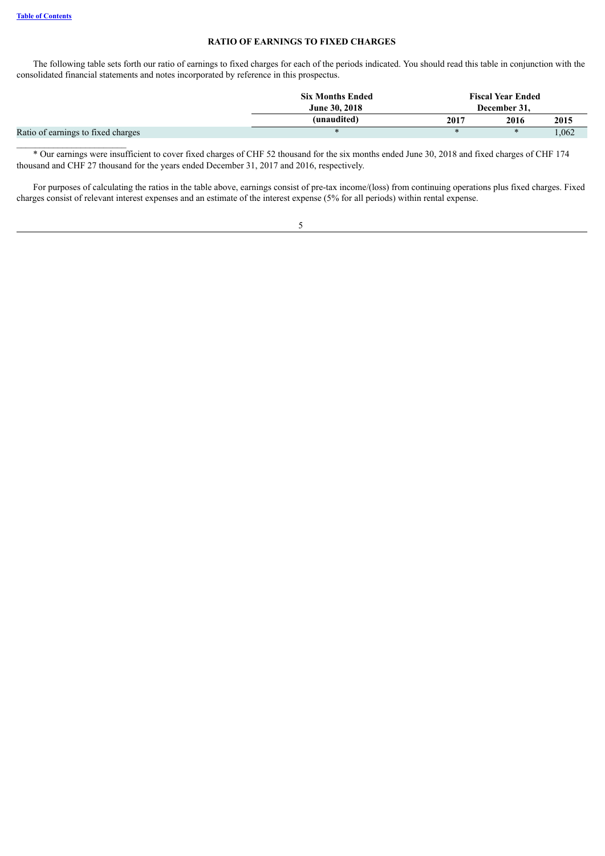#### **RATIO OF EARNINGS TO FIXED CHARGES**

<span id="page-12-0"></span>The following table sets forth our ratio of earnings to fixed charges for each of the periods indicated. You should read this table in conjunction with the consolidated financial statements and notes incorporated by reference in this prospectus.

|                                    | <b>Six Months Ended</b><br><b>June 30, 2018</b><br>(unaudited) | <b>Fiscal Year Ended</b><br>December 31, |               |       |  |
|------------------------------------|----------------------------------------------------------------|------------------------------------------|---------------|-------|--|
|                                    |                                                                | 2017                                     | 2016          | 2015  |  |
| Ratio of earnings to fixed charges |                                                                | $\ast$                                   | $\mathcal{H}$ | 1,062 |  |
|                                    |                                                                |                                          |               |       |  |

\* Our earnings were insufficient to cover fixed charges of CHF 52 thousand for the six months ended June 30, 2018 and fixed charges of CHF 174 thousand and CHF 27 thousand for the years ended December 31, 2017 and 2016, respectively.

For purposes of calculating the ratios in the table above, earnings consist of pre-tax income/(loss) from continuing operations plus fixed charges. Fixed charges consist of relevant interest expenses and an estimate of the interest expense (5% for all periods) within rental expense.

|   |   |   | I<br>I |  |
|---|---|---|--------|--|
| × | ٧ | I |        |  |
|   |   |   |        |  |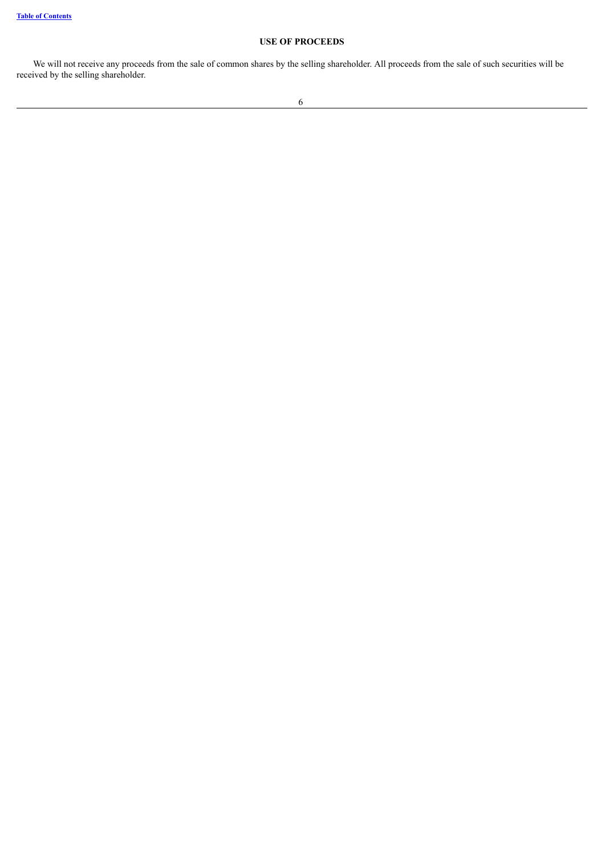# **USE OF PROCEEDS**

<span id="page-13-0"></span>We will not receive any proceeds from the sale of common shares by the selling shareholder. All proceeds from the sale of such securities will be received by the selling shareholder.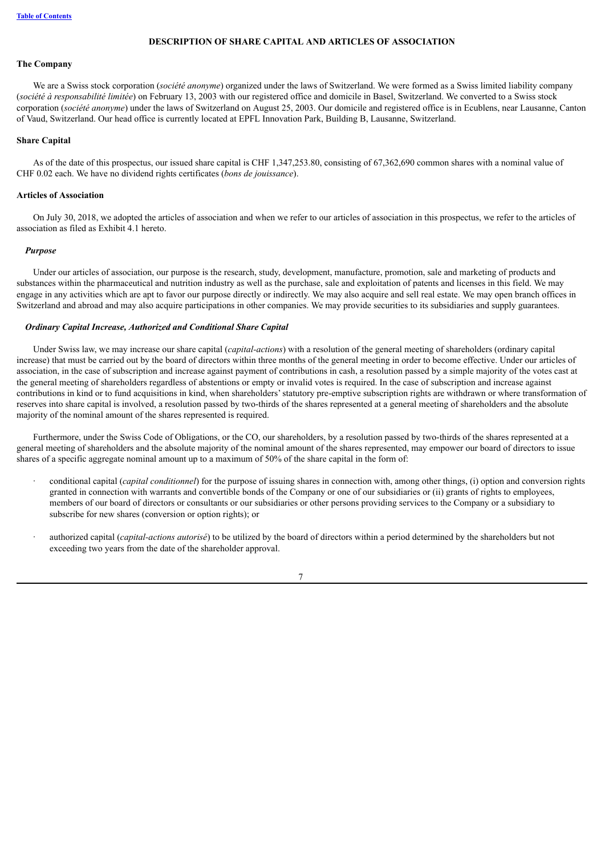# **DESCRIPTION OF SHARE CAPITAL AND ARTICLES OF ASSOCIATION**

#### <span id="page-14-0"></span>**The Company**

We are a Swiss stock corporation (*société anonyme*) organized under the laws of Switzerland. We were formed as a Swiss limited liability company (*société à responsabilité limitée*) on February 13, 2003 with our registered office and domicile in Basel, Switzerland. We converted to a Swiss stock corporation (*société anonyme*) under the laws of Switzerland on August 25, 2003. Our domicile and registered office is in Ecublens, near Lausanne, Canton of Vaud, Switzerland. Our head office is currently located at EPFL Innovation Park, Building B, Lausanne, Switzerland.

#### **Share Capital**

As of the date of this prospectus, our issued share capital is CHF 1,347,253.80, consisting of 67,362,690 common shares with a nominal value of CHF 0.02 each. We have no dividend rights certificates (*bons de jouissance*).

#### **Articles of Association**

On July 30, 2018, we adopted the articles of association and when we refer to our articles of association in this prospectus, we refer to the articles of association as filed as Exhibit 4.1 hereto.

#### *Purpose*

Under our articles of association, our purpose is the research, study, development, manufacture, promotion, sale and marketing of products and substances within the pharmaceutical and nutrition industry as well as the purchase, sale and exploitation of patents and licenses in this field. We may engage in any activities which are apt to favor our purpose directly or indirectly. We may also acquire and sell real estate. We may open branch offices in Switzerland and abroad and may also acquire participations in other companies. We may provide securities to its subsidiaries and supply guarantees.

#### *Ordinary Capital Increase, Authorized and Conditional Share Capital*

Under Swiss law, we may increase our share capital (*capital-actions*) with a resolution of the general meeting of shareholders (ordinary capital increase) that must be carried out by the board of directors within three months of the general meeting in order to become effective. Under our articles of association, in the case of subscription and increase against payment of contributions in cash, a resolution passed by a simple majority of the votes cast at the general meeting of shareholders regardless of abstentions or empty or invalid votes is required. In the case of subscription and increase against contributions in kind or to fund acquisitions in kind, when shareholders'statutory pre-emptive subscription rights are withdrawn or where transformation of reserves into share capital is involved, a resolution passed by two-thirds of the shares represented at a general meeting of shareholders and the absolute majority of the nominal amount of the shares represented is required.

Furthermore, under the Swiss Code of Obligations, or the CO, our shareholders, by a resolution passed by two-thirds of the shares represented at a general meeting of shareholders and the absolute majority of the nominal amount of the shares represented, may empower our board of directors to issue shares of a specific aggregate nominal amount up to a maximum of 50% of the share capital in the form of:

- · conditional capital (*capital conditionnel*) for the purpose of issuing shares in connection with, among other things, (i) option and conversion rights granted in connection with warrants and convertible bonds of the Company or one of our subsidiaries or (ii) grants of rights to employees, members of our board of directors or consultants or our subsidiaries or other persons providing services to the Company or a subsidiary to subscribe for new shares (conversion or option rights); or
- · authorized capital (*capital-actions autorisé*) to be utilized by the board of directors within a period determined by the shareholders but not exceeding two years from the date of the shareholder approval.

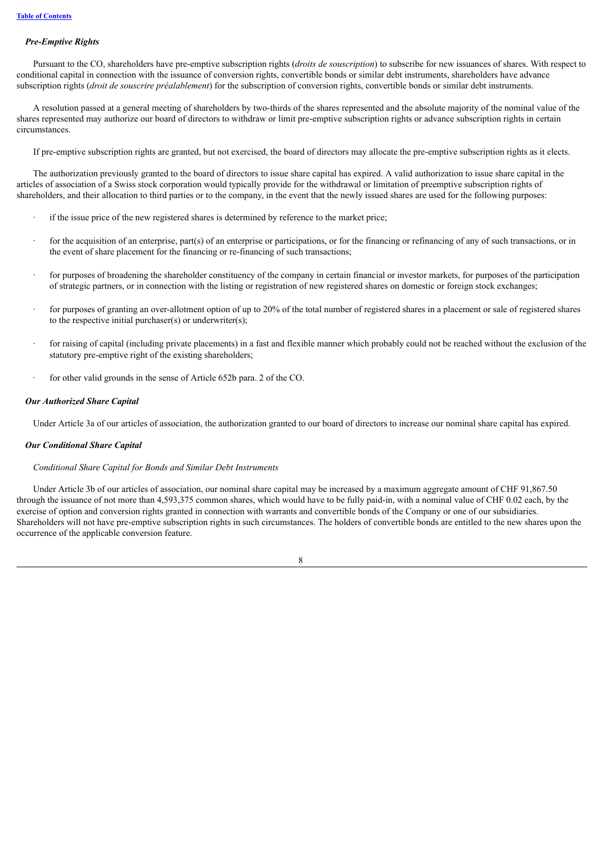#### *Pre-Emptive Rights*

Pursuant to the CO, shareholders have pre-emptive subscription rights (*droits de souscription*) to subscribe for new issuances of shares. With respect to conditional capital in connection with the issuance of conversion rights, convertible bonds or similar debt instruments, shareholders have advance subscription rights (*droit de souscrire préalablement*) for the subscription of conversion rights, convertible bonds or similar debt instruments.

A resolution passed at a general meeting of shareholders by two-thirds of the shares represented and the absolute majority of the nominal value of the shares represented may authorize our board of directors to withdraw or limit pre-emptive subscription rights or advance subscription rights in certain circumstances.

If pre-emptive subscription rights are granted, but not exercised, the board of directors may allocate the pre-emptive subscription rights as it elects.

The authorization previously granted to the board of directors to issue share capital has expired. A valid authorization to issue share capital in the articles of association of a Swiss stock corporation would typically provide for the withdrawal or limitation of preemptive subscription rights of shareholders, and their allocation to third parties or to the company, in the event that the newly issued shares are used for the following purposes:

- if the issue price of the new registered shares is determined by reference to the market price;
- for the acquisition of an enterprise, part(s) of an enterprise or participations, or for the financing or refinancing of any of such transactions, or in the event of share placement for the financing or re-financing of such transactions;
- · for purposes of broadening the shareholder constituency of the company in certain financial or investor markets, for purposes of the participation of strategic partners, or in connection with the listing or registration of new registered shares on domestic or foreign stock exchanges;
- for purposes of granting an over-allotment option of up to 20% of the total number of registered shares in a placement or sale of registered shares to the respective initial purchaser(s) or underwriter(s);
- for raising of capital (including private placements) in a fast and flexible manner which probably could not be reached without the exclusion of the statutory pre-emptive right of the existing shareholders;
- for other valid grounds in the sense of Article 652b para. 2 of the CO.

#### *Our Authorized Share Capital*

Under Article 3a of our articles of association, the authorization granted to our board of directors to increase our nominal share capital has expired.

#### *Our Conditional Share Capital*

#### *Conditional Share Capital for Bonds and Similar Debt Instruments*

Under Article 3b of our articles of association, our nominal share capital may be increased by a maximum aggregate amount of CHF 91,867.50 through the issuance of not more than 4,593,375 common shares, which would have to be fully paid-in, with a nominal value of CHF 0.02 each, by the exercise of option and conversion rights granted in connection with warrants and convertible bonds of the Company or one of our subsidiaries. Shareholders will not have pre-emptive subscription rights in such circumstances. The holders of convertible bonds are entitled to the new shares upon the occurrence of the applicable conversion feature.

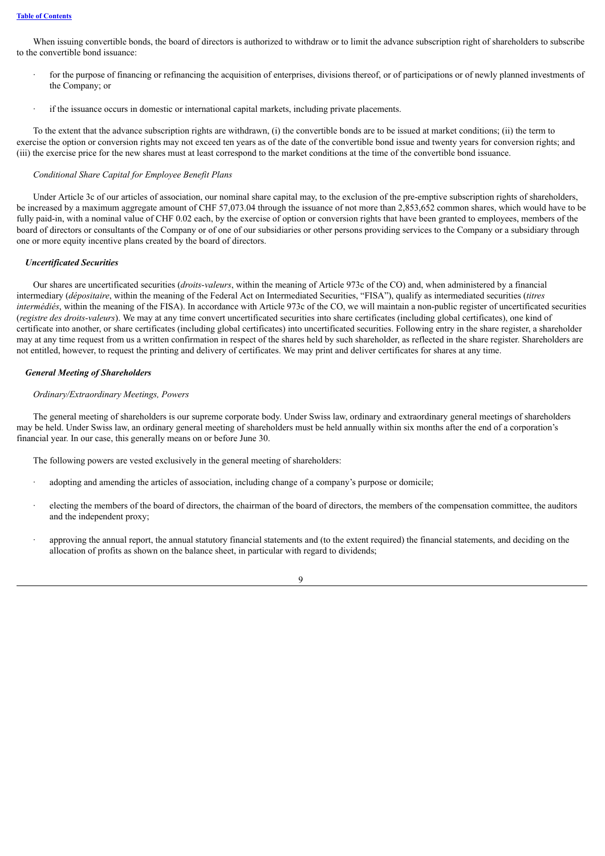When issuing convertible bonds, the board of directors is authorized to withdraw or to limit the advance subscription right of shareholders to subscribe to the convertible bond issuance:

- for the purpose of financing or refinancing the acquisition of enterprises, divisions thereof, or of participations or of newly planned investments of the Company; or
- if the issuance occurs in domestic or international capital markets, including private placements.

To the extent that the advance subscription rights are withdrawn, (i) the convertible bonds are to be issued at market conditions; (ii) the term to exercise the option or conversion rights may not exceed ten years as of the date of the convertible bond issue and twenty years for conversion rights; and (iii) the exercise price for the new shares must at least correspond to the market conditions at the time of the convertible bond issuance.

#### *Conditional Share Capital for Employee Benefit Plans*

Under Article 3c of our articles of association, our nominal share capital may, to the exclusion of the pre-emptive subscription rights of shareholders, be increased by a maximum aggregate amount of CHF 57,073.04 through the issuance of not more than 2,853,652 common shares, which would have to be fully paid-in, with a nominal value of CHF 0.02 each, by the exercise of option or conversion rights that have been granted to employees, members of the board of directors or consultants of the Company or of one of our subsidiaries or other persons providing services to the Company or a subsidiary through one or more equity incentive plans created by the board of directors.

#### *Uncertificated Securities*

Our shares are uncertificated securities (*droits-valeurs*, within the meaning of Article 973c of the CO) and, when administered by a financial intermediary (*dépositaire*, within the meaning of the Federal Act on Intermediated Securities, "FISA"), qualify as intermediated securities (*titres intermédiés*, within the meaning of the FISA). In accordance with Article 973c of the CO, we will maintain a non-public register of uncertificated securities (*registre des droits-valeurs*). We may at any time convert uncertificated securities into share certificates (including global certificates), one kind of certificate into another, or share certificates (including global certificates) into uncertificated securities. Following entry in the share register, a shareholder may at any time request from us a written confirmation in respect of the shares held by such shareholder, as reflected in the share register. Shareholders are not entitled, however, to request the printing and delivery of certificates. We may print and deliver certificates for shares at any time.

#### *General Meeting of Shareholders*

#### *Ordinary/Extraordinary Meetings, Powers*

The general meeting of shareholders is our supreme corporate body. Under Swiss law, ordinary and extraordinary general meetings of shareholders may be held. Under Swiss law, an ordinary general meeting of shareholders must be held annually within six months after the end of a corporation's financial year. In our case, this generally means on or before June 30.

The following powers are vested exclusively in the general meeting of shareholders:

- adopting and amending the articles of association, including change of a company's purpose or domicile;
- electing the members of the board of directors, the chairman of the board of directors, the members of the compensation committee, the auditors and the independent proxy;
- approving the annual report, the annual statutory financial statements and (to the extent required) the financial statements, and deciding on the allocation of profits as shown on the balance sheet, in particular with regard to dividends;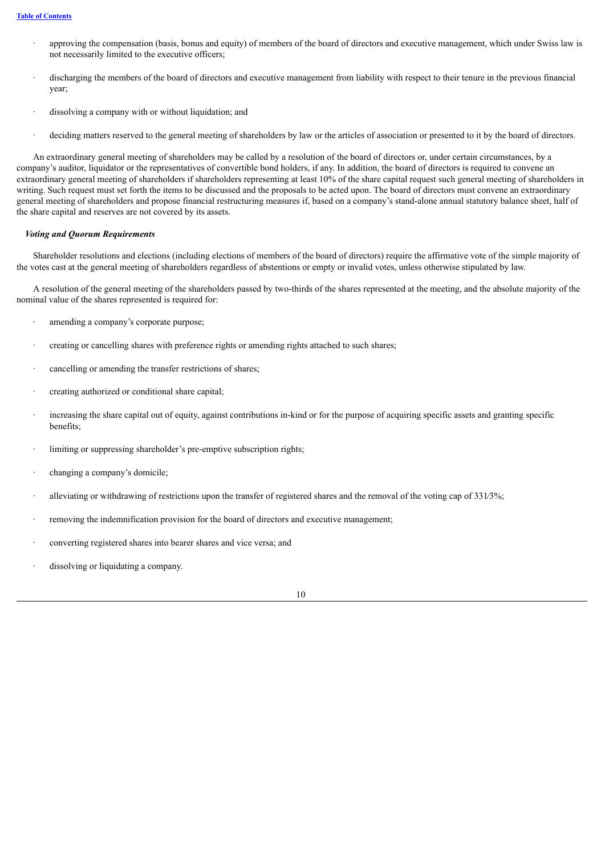- · approving the compensation (basis, bonus and equity) of members of the board of directors and executive management, which under Swiss law is not necessarily limited to the executive officers;
- · discharging the members of the board of directors and executive management from liability with respect to their tenure in the previous financial year;
- dissolving a company with or without liquidation; and
- deciding matters reserved to the general meeting of shareholders by law or the articles of association or presented to it by the board of directors.

An extraordinary general meeting of shareholders may be called by a resolution of the board of directors or, under certain circumstances, by a company's auditor, liquidator or the representatives of convertible bond holders, if any. In addition, the board of directors is required to convene an extraordinary general meeting of shareholders if shareholders representing at least 10% of the share capital request such general meeting of shareholders in writing. Such request must set forth the items to be discussed and the proposals to be acted upon. The board of directors must convene an extraordinary general meeting of shareholders and propose financial restructuring measures if, based on a company's stand-alone annual statutory balance sheet, half of the share capital and reserves are not covered by its assets.

#### *Voting and Quorum Requirements*

Shareholder resolutions and elections (including elections of members of the board of directors) require the affirmative vote of the simple majority of the votes cast at the general meeting of shareholders regardless of abstentions or empty or invalid votes, unless otherwise stipulated by law.

A resolution of the general meeting of the shareholders passed by two-thirds of the shares represented at the meeting, and the absolute majority of the nominal value of the shares represented is required for:

- · amending a company's corporate purpose;
- · creating or cancelling shares with preference rights or amending rights attached to such shares;
- cancelling or amending the transfer restrictions of shares;
- creating authorized or conditional share capital;
- increasing the share capital out of equity, against contributions in-kind or for the purpose of acquiring specific assets and granting specific benefits;
- limiting or suppressing shareholder's pre-emptive subscription rights;
- changing a company's domicile;
- · alleviating or withdrawing of restrictions upon the transfer of registered shares and the removal of the voting cap of 331∕3%;
- removing the indemnification provision for the board of directors and executive management;
- converting registered shares into bearer shares and vice versa; and
- dissolving or liquidating a company.

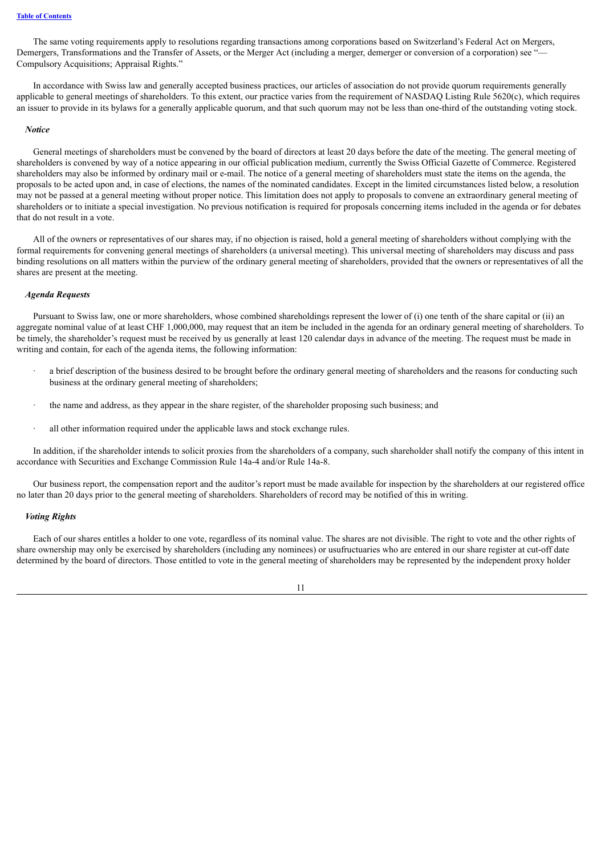The same voting requirements apply to resolutions regarding transactions among corporations based on Switzerland's Federal Act on Mergers, Demergers, Transformations and the Transfer of Assets, or the Merger Act (including a merger, demerger or conversion of a corporation) see "— Compulsory Acquisitions; Appraisal Rights."

In accordance with Swiss law and generally accepted business practices, our articles of association do not provide quorum requirements generally applicable to general meetings of shareholders. To this extent, our practice varies from the requirement of NASDAQ Listing Rule 5620(c), which requires an issuer to provide in its bylaws for a generally applicable quorum, and that such quorum may not be less than one-third of the outstanding voting stock.

#### *Notice*

General meetings of shareholders must be convened by the board of directors at least 20 days before the date of the meeting. The general meeting of shareholders is convened by way of a notice appearing in our official publication medium, currently the Swiss Official Gazette of Commerce. Registered shareholders may also be informed by ordinary mail or e-mail. The notice of a general meeting of shareholders must state the items on the agenda, the proposals to be acted upon and, in case of elections, the names of the nominated candidates. Except in the limited circumstances listed below, a resolution may not be passed at a general meeting without proper notice. This limitation does not apply to proposals to convene an extraordinary general meeting of shareholders or to initiate a special investigation. No previous notification is required for proposals concerning items included in the agenda or for debates that do not result in a vote.

All of the owners or representatives of our shares may, if no objection is raised, hold a general meeting of shareholders without complying with the formal requirements for convening general meetings of shareholders (a universal meeting). This universal meeting of shareholders may discuss and pass binding resolutions on all matters within the purview of the ordinary general meeting of shareholders, provided that the owners or representatives of all the shares are present at the meeting.

#### *Agenda Requests*

Pursuant to Swiss law, one or more shareholders, whose combined shareholdings represent the lower of (i) one tenth of the share capital or (ii) an aggregate nominal value of at least CHF 1,000,000, may request that an item be included in the agenda for an ordinary general meeting of shareholders. To be timely, the shareholder's request must be received by us generally at least 120 calendar days in advance of the meeting. The request must be made in writing and contain, for each of the agenda items, the following information:

- a brief description of the business desired to be brought before the ordinary general meeting of shareholders and the reasons for conducting such business at the ordinary general meeting of shareholders;
- the name and address, as they appear in the share register, of the shareholder proposing such business; and
- · all other information required under the applicable laws and stock exchange rules.

In addition, if the shareholder intends to solicit proxies from the shareholders of a company, such shareholder shall notify the company of this intent in accordance with Securities and Exchange Commission Rule 14a-4 and/or Rule 14a-8.

Our business report, the compensation report and the auditor's report must be made available for inspection by the shareholders at our registered office no later than 20 days prior to the general meeting of shareholders. Shareholders of record may be notified of this in writing.

#### *Voting Rights*

Each of our shares entitles a holder to one vote, regardless of its nominal value. The shares are not divisible. The right to vote and the other rights of share ownership may only be exercised by shareholders (including any nominees) or usufructuaries who are entered in our share register at cut-off date determined by the board of directors. Those entitled to vote in the general meeting of shareholders may be represented by the independent proxy holder

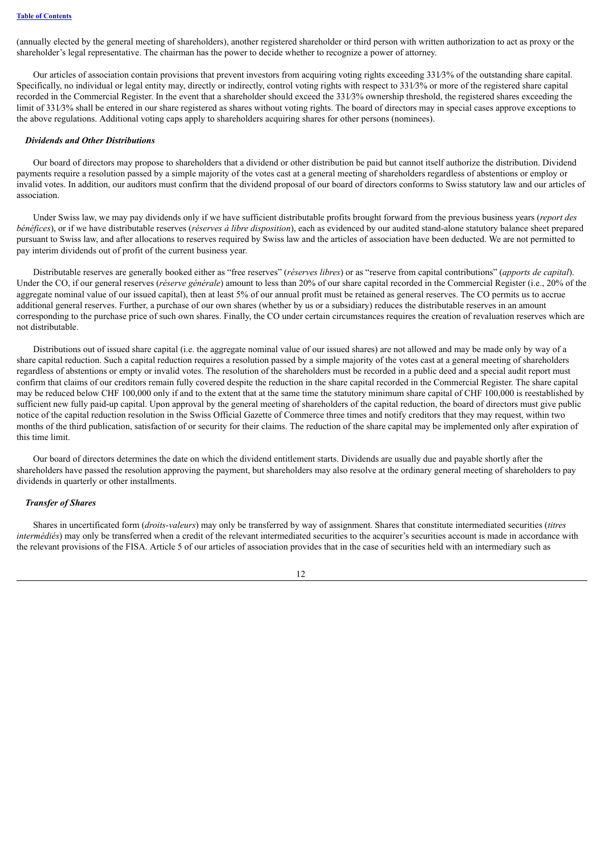(annually elected by the general meeting of shareholders), another registered shareholder or third person with written authorization to act as proxy or the shareholder's legal representative. The chairman has the power to decide whether to recognize a power of attorney.

Our articles of association contain provisions that prevent investors from acquiring voting rights exceeding 331∕3% of the outstanding share capital. Specifically, no individual or legal entity may, directly or indirectly, control voting rights with respect to 331⁄3% or more of the registered share capital recorded in the Commercial Register. In the event that a shareholder should exceed the 331∕3% ownership threshold, the registered shares exceeding the limit of 331∕3% shall be entered in our share registered as shares without voting rights. The board of directors may in special cases approve exceptions to the above regulations. Additional voting caps apply to shareholders acquiring shares for other persons (nominees).

#### *Dividends and Other Distributions*

Our board of directors may propose to shareholders that a dividend or other distribution be paid but cannot itself authorize the distribution. Dividend payments require a resolution passed by a simple majority of the votes cast at a general meeting of shareholders regardless of abstentions or employ or invalid votes. In addition, our auditors must confirm that the dividend proposal of our board of directors conforms to Swiss statutory law and our articles of association.

Under Swiss law, we may pay dividends only if we have sufficient distributable profits brought forward from the previous business years (*report des bénéfices*), or if we have distributable reserves (*réserves à libre disposition*), each as evidenced by our audited stand-alone statutory balance sheet prepared pursuant to Swiss law, and after allocations to reserves required by Swiss law and the articles of association have been deducted. We are not permitted to pay interim dividends out of profit of the current business year.

Distributable reserves are generally booked either as "free reserves" (*réserves libres*) or as "reserve from capital contributions" (*apports de capital*). Under the CO, if our general reserves (*réserve générale*) amount to less than 20% of our share capital recorded in the Commercial Register (i.e., 20% of the aggregate nominal value of our issued capital), then at least 5% of our annual profit must be retained as general reserves. The CO permits us to accrue additional general reserves. Further, a purchase of our own shares (whether by us or a subsidiary) reduces the distributable reserves in an amount corresponding to the purchase price of such own shares. Finally, the CO under certain circumstances requires the creation of revaluation reserves which are not distributable.

Distributions out of issued share capital (i.e. the aggregate nominal value of our issued shares) are not allowed and may be made only by way of a share capital reduction. Such a capital reduction requires a resolution passed by a simple majority of the votes cast at a general meeting of shareholders regardless of abstentions or empty or invalid votes. The resolution of the shareholders must be recorded in a public deed and a special audit report must confirm that claims of our creditors remain fully covered despite the reduction in the share capital recorded in the Commercial Register. The share capital may be reduced below CHF 100,000 only if and to the extent that at the same time the statutory minimum share capital of CHF 100,000 is reestablished by sufficient new fully paid-up capital. Upon approval by the general meeting of shareholders of the capital reduction, the board of directors must give public notice of the capital reduction resolution in the Swiss Official Gazette of Commerce three times and notify creditors that they may request, within two months of the third publication, satisfaction of or security for their claims. The reduction of the share capital may be implemented only after expiration of this time limit.

Our board of directors determines the date on which the dividend entitlement starts. Dividends are usually due and payable shortly after the shareholders have passed the resolution approving the payment, but shareholders may also resolve at the ordinary general meeting of shareholders to pay dividends in quarterly or other installments.

#### *Transfer of Shares*

Shares in uncertificated form (*droits-valeurs*) may only be transferred by way of assignment. Shares that constitute intermediated securities (*titres intermédiés*) may only be transferred when a credit of the relevant intermediated securities to the acquirer's securities account is made in accordance with the relevant provisions of the FISA. Article 5 of our articles of association provides that in the case of securities held with an intermediary such as

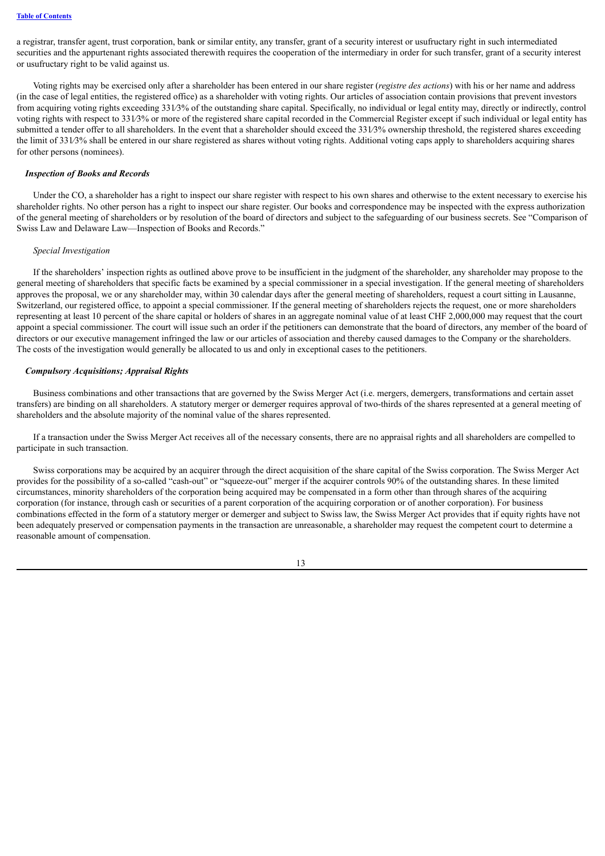a registrar, transfer agent, trust corporation, bank or similar entity, any transfer, grant of a security interest or usufructary right in such intermediated securities and the appurtenant rights associated therewith requires the cooperation of the intermediary in order for such transfer, grant of a security interest or usufructary right to be valid against us.

Voting rights may be exercised only after a shareholder has been entered in our share register (*registre des actions*) with his or her name and address (in the case of legal entities, the registered office) as a shareholder with voting rights. Our articles of association contain provisions that prevent investors from acquiring voting rights exceeding 331⁄3% of the outstanding share capital. Specifically, no individual or legal entity may, directly or indirectly, control voting rights with respect to 331∕3% or more of the registered share capital recorded in the Commercial Register except if such individual or legal entity has submitted a tender offer to all shareholders. In the event that a shareholder should exceed the 331/3% ownership threshold, the registered shares exceeding the limit of 331∕3% shall be entered in our share registered as shares without voting rights. Additional voting caps apply to shareholders acquiring shares for other persons (nominees).

#### *Inspection of Books and Records*

Under the CO, a shareholder has a right to inspect our share register with respect to his own shares and otherwise to the extent necessary to exercise his shareholder rights. No other person has a right to inspect our share register. Our books and correspondence may be inspected with the express authorization of the general meeting of shareholders or by resolution of the board of directors and subject to the safeguarding of our business secrets. See "Comparison of Swiss Law and Delaware Law—Inspection of Books and Records."

#### *Special Investigation*

If the shareholders' inspection rights as outlined above prove to be insufficient in the judgment of the shareholder, any shareholder may propose to the general meeting of shareholders that specific facts be examined by a special commissioner in a special investigation. If the general meeting of shareholders approves the proposal, we or any shareholder may, within 30 calendar days after the general meeting of shareholders, request a court sitting in Lausanne, Switzerland, our registered office, to appoint a special commissioner. If the general meeting of shareholders rejects the request, one or more shareholders representing at least 10 percent of the share capital or holders of shares in an aggregate nominal value of at least CHF 2,000,000 may request that the court appoint a special commissioner. The court will issue such an order if the petitioners can demonstrate that the board of directors, any member of the board of directors or our executive management infringed the law or our articles of association and thereby caused damages to the Company or the shareholders. The costs of the investigation would generally be allocated to us and only in exceptional cases to the petitioners.

#### *Compulsory Acquisitions; Appraisal Rights*

Business combinations and other transactions that are governed by the Swiss Merger Act (i.e. mergers, demergers, transformations and certain asset transfers) are binding on all shareholders. A statutory merger or demerger requires approval of two-thirds of the shares represented at a general meeting of shareholders and the absolute majority of the nominal value of the shares represented.

If a transaction under the Swiss Merger Act receives all of the necessary consents, there are no appraisal rights and all shareholders are compelled to participate in such transaction.

Swiss corporations may be acquired by an acquirer through the direct acquisition of the share capital of the Swiss corporation. The Swiss Merger Act provides for the possibility of a so-called "cash-out" or "squeeze-out" merger if the acquirer controls 90% of the outstanding shares. In these limited circumstances, minority shareholders of the corporation being acquired may be compensated in a form other than through shares of the acquiring corporation (for instance, through cash or securities of a parent corporation of the acquiring corporation or of another corporation). For business combinations effected in the form of a statutory merger or demerger and subject to Swiss law, the Swiss Merger Act provides that if equity rights have not been adequately preserved or compensation payments in the transaction are unreasonable, a shareholder may request the competent court to determine a reasonable amount of compensation.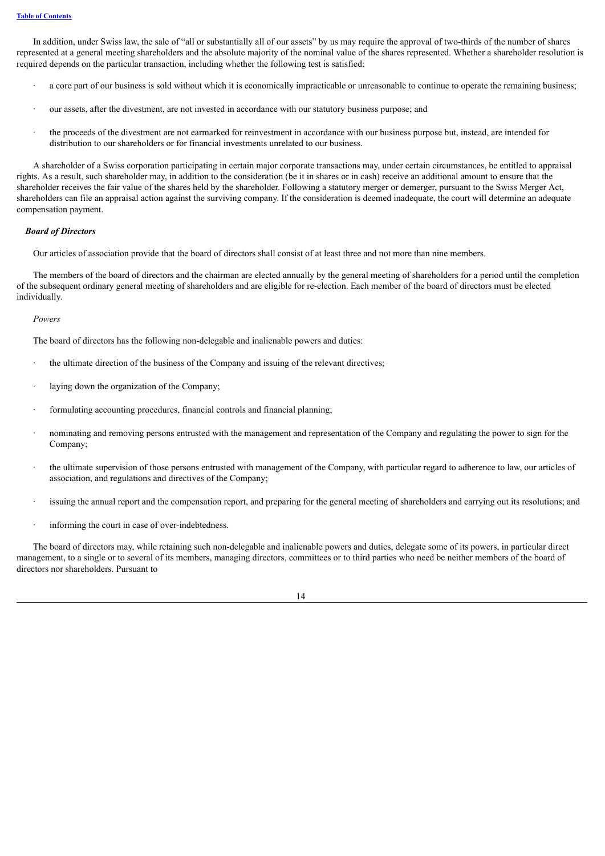In addition, under Swiss law, the sale of "all or substantially all of our assets" by us may require the approval of two-thirds of the number of shares represented at a general meeting shareholders and the absolute majority of the nominal value of the shares represented. Whether a shareholder resolution is required depends on the particular transaction, including whether the following test is satisfied:

- · a core part of our business is sold without which it is economically impracticable or unreasonable to continue to operate the remaining business;
- · our assets, after the divestment, are not invested in accordance with our statutory business purpose; and
- · the proceeds of the divestment are not earmarked for reinvestment in accordance with our business purpose but, instead, are intended for distribution to our shareholders or for financial investments unrelated to our business.

A shareholder of a Swiss corporation participating in certain major corporate transactions may, under certain circumstances, be entitled to appraisal rights. As a result, such shareholder may, in addition to the consideration (be it in shares or in cash) receive an additional amount to ensure that the shareholder receives the fair value of the shares held by the shareholder. Following a statutory merger or demerger, pursuant to the Swiss Merger Act, shareholders can file an appraisal action against the surviving company. If the consideration is deemed inadequate, the court will determine an adequate compensation payment.

#### *Board of Directors*

Our articles of association provide that the board of directors shall consist of at least three and not more than nine members.

The members of the board of directors and the chairman are elected annually by the general meeting of shareholders for a period until the completion of the subsequent ordinary general meeting of shareholders and are eligible for re-election. Each member of the board of directors must be elected individually.

#### *Powers*

The board of directors has the following non-delegable and inalienable powers and duties:

- · the ultimate direction of the business of the Company and issuing of the relevant directives;
- laying down the organization of the Company;
- · formulating accounting procedures, financial controls and financial planning;
- · nominating and removing persons entrusted with the management and representation of the Company and regulating the power to sign for the Company:
- the ultimate supervision of those persons entrusted with management of the Company, with particular regard to adherence to law, our articles of association, and regulations and directives of the Company;
- issuing the annual report and the compensation report, and preparing for the general meeting of shareholders and carrying out its resolutions; and
- informing the court in case of over-indebtedness.

The board of directors may, while retaining such non-delegable and inalienable powers and duties, delegate some of its powers, in particular direct management, to a single or to several of its members, managing directors, committees or to third parties who need be neither members of the board of directors nor shareholders. Pursuant to

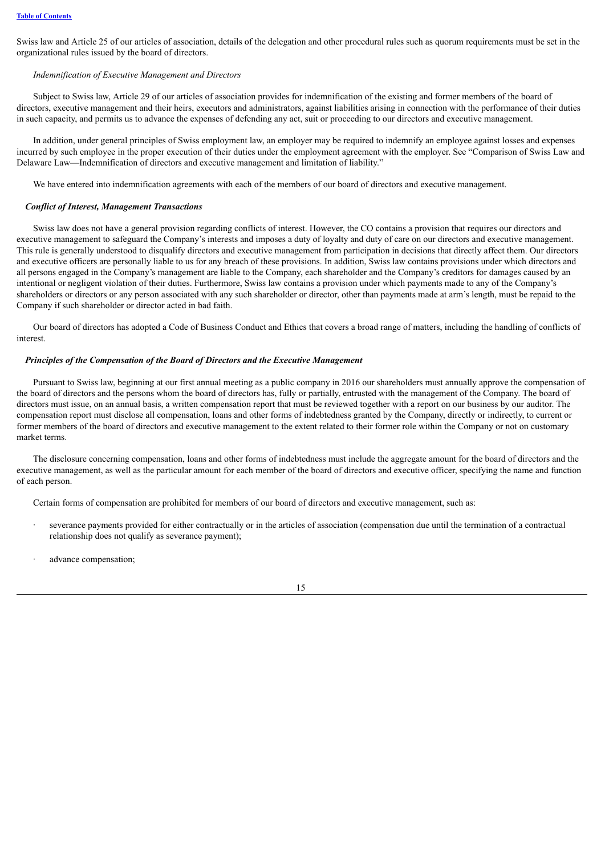Swiss law and Article 25 of our articles of association, details of the delegation and other procedural rules such as quorum requirements must be set in the organizational rules issued by the board of directors.

#### *Indemnification of Executive Management and Directors*

Subject to Swiss law, Article 29 of our articles of association provides for indemnification of the existing and former members of the board of directors, executive management and their heirs, executors and administrators, against liabilities arising in connection with the performance of their duties in such capacity, and permits us to advance the expenses of defending any act, suit or proceeding to our directors and executive management.

In addition, under general principles of Swiss employment law, an employer may be required to indemnify an employee against losses and expenses incurred by such employee in the proper execution of their duties under the employment agreement with the employer. See "Comparison of Swiss Law and Delaware Law—Indemnification of directors and executive management and limitation of liability."

We have entered into indemnification agreements with each of the members of our board of directors and executive management.

#### *Conflict of Interest, Management Transactions*

Swiss law does not have a general provision regarding conflicts of interest. However, the CO contains a provision that requires our directors and executive management to safeguard the Company's interests and imposes a duty of loyalty and duty of care on our directors and executive management. This rule is generally understood to disqualify directors and executive management from participation in decisions that directly affect them. Our directors and executive officers are personally liable to us for any breach of these provisions. In addition, Swiss law contains provisions under which directors and all persons engaged in the Company's management are liable to the Company, each shareholder and the Company's creditors for damages caused by an intentional or negligent violation of their duties. Furthermore, Swiss law contains a provision under which payments made to any of the Company's shareholders or directors or any person associated with any such shareholder or director, other than payments made at arm's length, must be repaid to the Company if such shareholder or director acted in bad faith.

Our board of directors has adopted a Code of Business Conduct and Ethics that covers a broad range of matters, including the handling of conflicts of interest.

#### *Principles of the Compensation of the Board of Directors and the Executive Management*

Pursuant to Swiss law, beginning at our first annual meeting as a public company in 2016 our shareholders must annually approve the compensation of the board of directors and the persons whom the board of directors has, fully or partially, entrusted with the management of the Company. The board of directors must issue, on an annual basis, a written compensation report that must be reviewed together with a report on our business by our auditor. The compensation report must disclose all compensation, loans and other forms of indebtedness granted by the Company, directly or indirectly, to current or former members of the board of directors and executive management to the extent related to their former role within the Company or not on customary market terms.

The disclosure concerning compensation, loans and other forms of indebtedness must include the aggregate amount for the board of directors and the executive management, as well as the particular amount for each member of the board of directors and executive officer, specifying the name and function of each person.

Certain forms of compensation are prohibited for members of our board of directors and executive management, such as:

- · severance payments provided for either contractually or in the articles of association (compensation due until the termination of a contractual relationship does not qualify as severance payment);
- advance compensation;

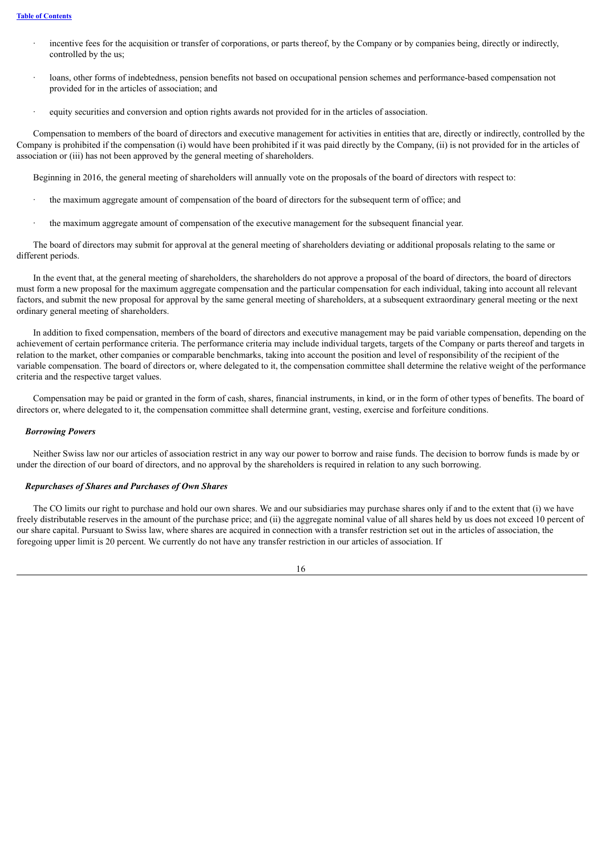- incentive fees for the acquisition or transfer of corporations, or parts thereof, by the Company or by companies being, directly or indirectly, controlled by the us;
- loans, other forms of indebtedness, pension benefits not based on occupational pension schemes and performance-based compensation not provided for in the articles of association; and
- equity securities and conversion and option rights awards not provided for in the articles of association.

Compensation to members of the board of directors and executive management for activities in entities that are, directly or indirectly, controlled by the Company is prohibited if the compensation (i) would have been prohibited if it was paid directly by the Company, (ii) is not provided for in the articles of association or (iii) has not been approved by the general meeting of shareholders.

Beginning in 2016, the general meeting of shareholders will annually vote on the proposals of the board of directors with respect to:

- the maximum aggregate amount of compensation of the board of directors for the subsequent term of office; and
- · the maximum aggregate amount of compensation of the executive management for the subsequent financial year.

The board of directors may submit for approval at the general meeting of shareholders deviating or additional proposals relating to the same or different periods.

In the event that, at the general meeting of shareholders, the shareholders do not approve a proposal of the board of directors, the board of directors must form a new proposal for the maximum aggregate compensation and the particular compensation for each individual, taking into account all relevant factors, and submit the new proposal for approval by the same general meeting of shareholders, at a subsequent extraordinary general meeting or the next ordinary general meeting of shareholders.

In addition to fixed compensation, members of the board of directors and executive management may be paid variable compensation, depending on the achievement of certain performance criteria. The performance criteria may include individual targets, targets of the Company or parts thereof and targets in relation to the market, other companies or comparable benchmarks, taking into account the position and level of responsibility of the recipient of the variable compensation. The board of directors or, where delegated to it, the compensation committee shall determine the relative weight of the performance criteria and the respective target values.

Compensation may be paid or granted in the form of cash, shares, financial instruments, in kind, or in the form of other types of benefits. The board of directors or, where delegated to it, the compensation committee shall determine grant, vesting, exercise and forfeiture conditions.

#### *Borrowing Powers*

Neither Swiss law nor our articles of association restrict in any way our power to borrow and raise funds. The decision to borrow funds is made by or under the direction of our board of directors, and no approval by the shareholders is required in relation to any such borrowing.

#### *Repurchases of Shares and Purchases of Own Shares*

The CO limits our right to purchase and hold our own shares. We and our subsidiaries may purchase shares only if and to the extent that (i) we have freely distributable reserves in the amount of the purchase price; and (ii) the aggregate nominal value of all shares held by us does not exceed 10 percent of our share capital. Pursuant to Swiss law, where shares are acquired in connection with a transfer restriction set out in the articles of association, the foregoing upper limit is 20 percent. We currently do not have any transfer restriction in our articles of association. If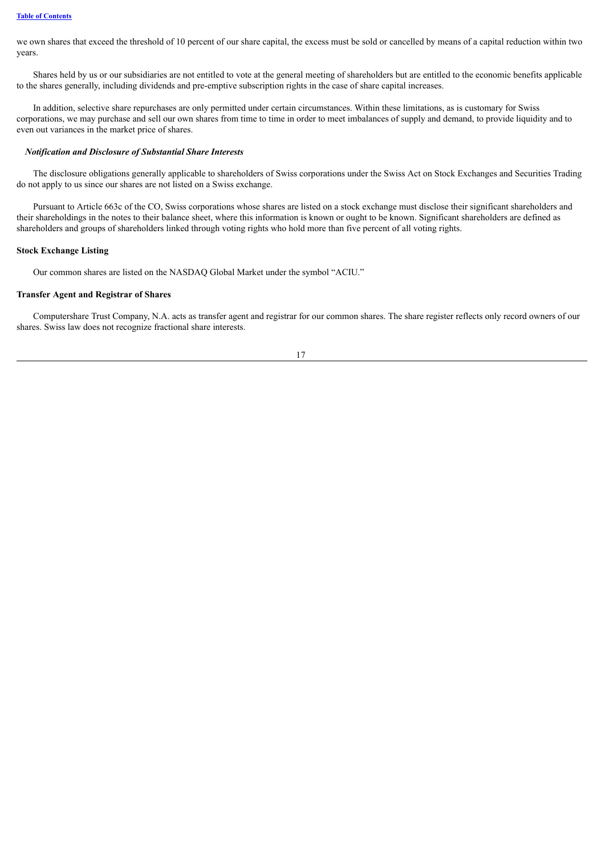we own shares that exceed the threshold of 10 percent of our share capital, the excess must be sold or cancelled by means of a capital reduction within two years.

Shares held by us or our subsidiaries are not entitled to vote at the general meeting of shareholders but are entitled to the economic benefits applicable to the shares generally, including dividends and pre-emptive subscription rights in the case of share capital increases.

In addition, selective share repurchases are only permitted under certain circumstances. Within these limitations, as is customary for Swiss corporations, we may purchase and sell our own shares from time to time in order to meet imbalances of supply and demand, to provide liquidity and to even out variances in the market price of shares.

#### *Notification and Disclosure of Substantial Share Interests*

The disclosure obligations generally applicable to shareholders of Swiss corporations under the Swiss Act on Stock Exchanges and Securities Trading do not apply to us since our shares are not listed on a Swiss exchange.

Pursuant to Article 663c of the CO, Swiss corporations whose shares are listed on a stock exchange must disclose their significant shareholders and their shareholdings in the notes to their balance sheet, where this information is known or ought to be known. Significant shareholders are defined as shareholders and groups of shareholders linked through voting rights who hold more than five percent of all voting rights.

#### **Stock Exchange Listing**

Our common shares are listed on the NASDAQ Global Market under the symbol "ACIU."

#### **Transfer Agent and Registrar of Shares**

Computershare Trust Company, N.A. acts as transfer agent and registrar for our common shares. The share register reflects only record owners of our shares. Swiss law does not recognize fractional share interests.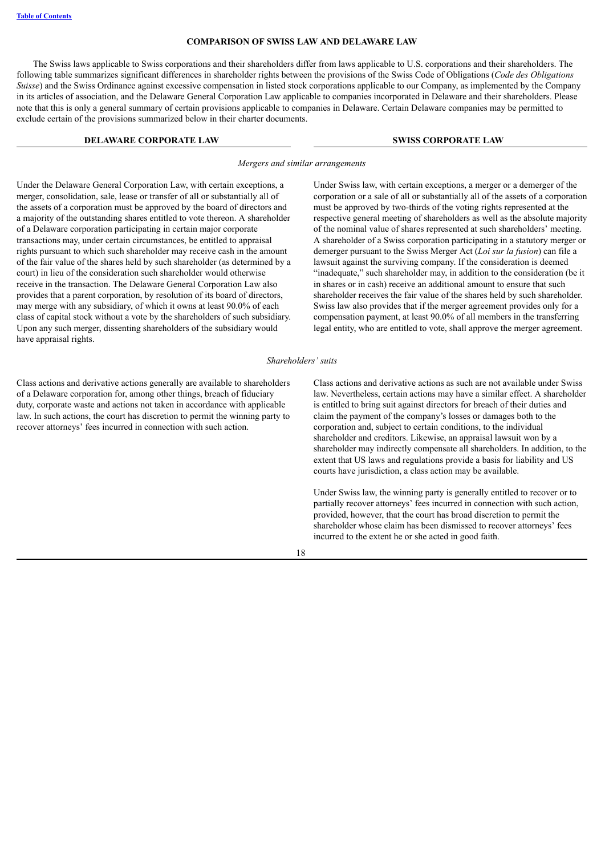#### **COMPARISON OF SWISS LAW AND DELAWARE LAW**

<span id="page-25-0"></span>The Swiss laws applicable to Swiss corporations and their shareholders differ from laws applicable to U.S. corporations and their shareholders. The following table summarizes significant differences in shareholder rights between the provisions of the Swiss Code of Obligations (*Code des Obligations Suisse*) and the Swiss Ordinance against excessive compensation in listed stock corporations applicable to our Company, as implemented by the Company in its articles of association, and the Delaware General Corporation Law applicable to companies incorporated in Delaware and their shareholders. Please note that this is only a general summary of certain provisions applicable to companies in Delaware. Certain Delaware companies may be permitted to exclude certain of the provisions summarized below in their charter documents.

#### **DELAWARE CORPORATE LAW SWISS CORPORATE LAW**

*Mergers and similar arrangements*

Under the Delaware General Corporation Law, with certain exceptions, a merger, consolidation, sale, lease or transfer of all or substantially all of the assets of a corporation must be approved by the board of directors and a majority of the outstanding shares entitled to vote thereon. A shareholder of a Delaware corporation participating in certain major corporate transactions may, under certain circumstances, be entitled to appraisal rights pursuant to which such shareholder may receive cash in the amount of the fair value of the shares held by such shareholder (as determined by a court) in lieu of the consideration such shareholder would otherwise receive in the transaction. The Delaware General Corporation Law also provides that a parent corporation, by resolution of its board of directors, may merge with any subsidiary, of which it owns at least 90.0% of each class of capital stock without a vote by the shareholders of such subsidiary. Upon any such merger, dissenting shareholders of the subsidiary would have appraisal rights.

Class actions and derivative actions generally are available to shareholders of a Delaware corporation for, among other things, breach of fiduciary duty, corporate waste and actions not taken in accordance with applicable law. In such actions, the court has discretion to permit the winning party to recover attorneys' fees incurred in connection with such action.

Under Swiss law, with certain exceptions, a merger or a demerger of the corporation or a sale of all or substantially all of the assets of a corporation must be approved by two-thirds of the voting rights represented at the respective general meeting of shareholders as well as the absolute majority of the nominal value of shares represented at such shareholders' meeting. A shareholder of a Swiss corporation participating in a statutory merger or demerger pursuant to the Swiss Merger Act (*Loi sur la fusion*) can file a lawsuit against the surviving company. If the consideration is deemed "inadequate," such shareholder may, in addition to the consideration (be it in shares or in cash) receive an additional amount to ensure that such shareholder receives the fair value of the shares held by such shareholder. Swiss law also provides that if the merger agreement provides only for a compensation payment, at least 90.0% of all members in the transferring legal entity, who are entitled to vote, shall approve the merger agreement.

#### *Shareholders' suits*

Class actions and derivative actions as such are not available under Swiss law. Nevertheless, certain actions may have a similar effect. A shareholder is entitled to bring suit against directors for breach of their duties and claim the payment of the company's losses or damages both to the corporation and, subject to certain conditions, to the individual shareholder and creditors. Likewise, an appraisal lawsuit won by a shareholder may indirectly compensate all shareholders. In addition, to the extent that US laws and regulations provide a basis for liability and US courts have jurisdiction, a class action may be available.

Under Swiss law, the winning party is generally entitled to recover or to partially recover attorneys' fees incurred in connection with such action, provided, however, that the court has broad discretion to permit the shareholder whose claim has been dismissed to recover attorneys' fees incurred to the extent he or she acted in good faith.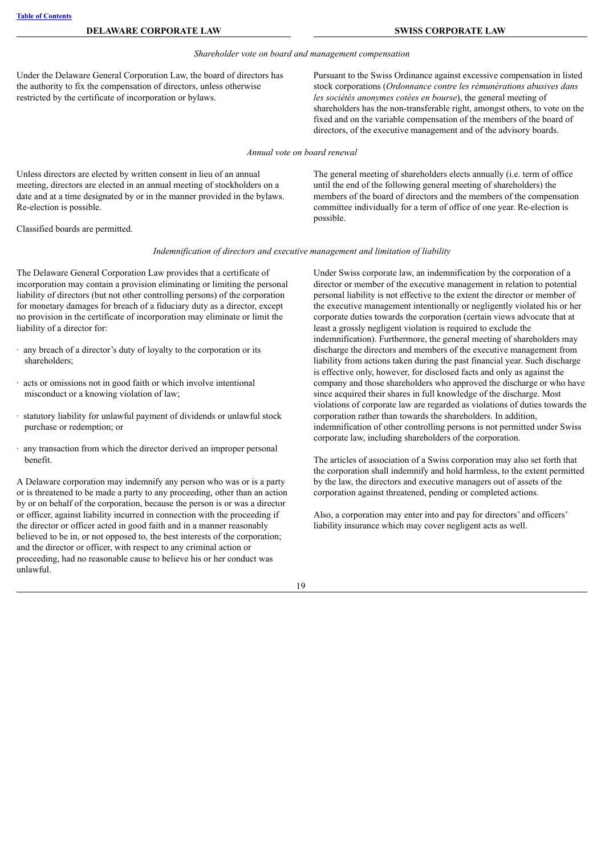#### *Shareholder vote on board and management compensation*

Under the Delaware General Corporation Law, the board of directors has the authority to fix the compensation of directors, unless otherwise restricted by the certificate of incorporation or bylaws.

Pursuant to the Swiss Ordinance against excessive compensation in listed stock corporations (*Ordonnance contre les rémunérations abusives dans les sociétés anonymes cotées en bourse*), the general meeting of shareholders has the non-transferable right, amongst others, to vote on the fixed and on the variable compensation of the members of the board of directors, of the executive management and of the advisory boards.

*Annual vote on board renewal*

Unless directors are elected by written consent in lieu of an annual meeting, directors are elected in an annual meeting of stockholders on a date and at a time designated by or in the manner provided in the bylaws. Re-election is possible.

Classified boards are permitted.

until the end of the following general meeting of shareholders) the members of the board of directors and the members of the compensation committee individually for a term of office of one year. Re-election is possible.

The general meeting of shareholders elects annually (i.e. term of office

#### *Indemnification of directors and executive management and limitation of liability*

The Delaware General Corporation Law provides that a certificate of incorporation may contain a provision eliminating or limiting the personal liability of directors (but not other controlling persons) of the corporation for monetary damages for breach of a fiduciary duty as a director, except no provision in the certificate of incorporation may eliminate or limit the liability of a director for:

- · any breach of a director's duty of loyalty to the corporation or its shareholders;
- · acts or omissions not in good faith or which involve intentional misconduct or a knowing violation of law;
- · statutory liability for unlawful payment of dividends or unlawful stock purchase or redemption; or
- · any transaction from which the director derived an improper personal benefit.

A Delaware corporation may indemnify any person who was or is a party or is threatened to be made a party to any proceeding, other than an action by or on behalf of the corporation, because the person is or was a director or officer, against liability incurred in connection with the proceeding if the director or officer acted in good faith and in a manner reasonably believed to be in, or not opposed to, the best interests of the corporation; and the director or officer, with respect to any criminal action or proceeding, had no reasonable cause to believe his or her conduct was unlawful.

Under Swiss corporate law, an indemnification by the corporation of a director or member of the executive management in relation to potential personal liability is not effective to the extent the director or member of the executive management intentionally or negligently violated his or her corporate duties towards the corporation (certain views advocate that at least a grossly negligent violation is required to exclude the indemnification). Furthermore, the general meeting of shareholders may discharge the directors and members of the executive management from liability from actions taken during the past financial year. Such discharge is effective only, however, for disclosed facts and only as against the company and those shareholders who approved the discharge or who have since acquired their shares in full knowledge of the discharge. Most violations of corporate law are regarded as violations of duties towards the corporation rather than towards the shareholders. In addition, indemnification of other controlling persons is not permitted under Swiss corporate law, including shareholders of the corporation.

The articles of association of a Swiss corporation may also set forth that the corporation shall indemnify and hold harmless, to the extent permitted by the law, the directors and executive managers out of assets of the corporation against threatened, pending or completed actions.

Also, a corporation may enter into and pay for directors' and officers' liability insurance which may cover negligent acts as well.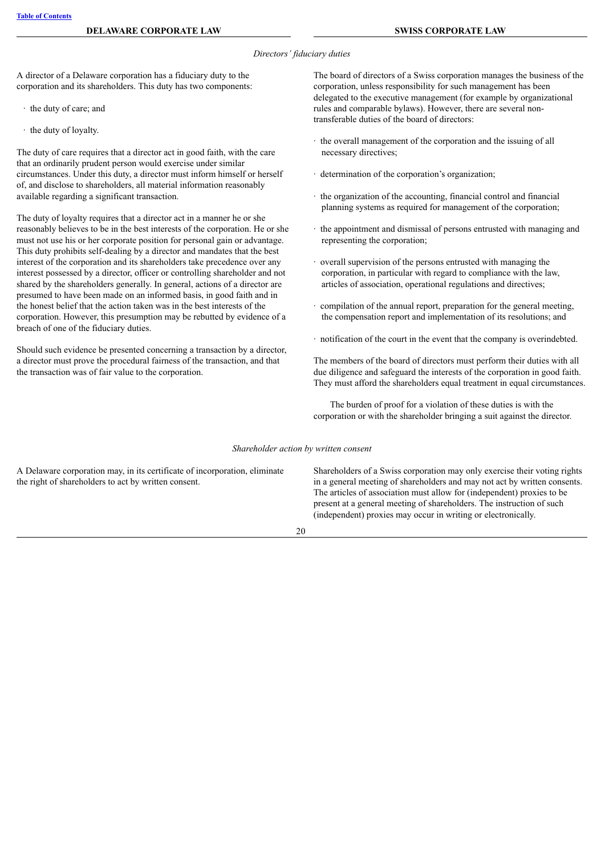#### *Directors' fiduciary duties*

A director of a Delaware corporation has a fiduciary duty to the corporation and its shareholders. This duty has two components:

- · the duty of care; and
- · the duty of loyalty.

The duty of care requires that a director act in good faith, with the care that an ordinarily prudent person would exercise under similar circumstances. Under this duty, a director must inform himself or herself of, and disclose to shareholders, all material information reasonably available regarding a significant transaction.

The duty of loyalty requires that a director act in a manner he or she reasonably believes to be in the best interests of the corporation. He or she must not use his or her corporate position for personal gain or advantage. This duty prohibits self-dealing by a director and mandates that the best interest of the corporation and its shareholders take precedence over any interest possessed by a director, officer or controlling shareholder and not shared by the shareholders generally. In general, actions of a director are presumed to have been made on an informed basis, in good faith and in the honest belief that the action taken was in the best interests of the corporation. However, this presumption may be rebutted by evidence of a breach of one of the fiduciary duties.

Should such evidence be presented concerning a transaction by a director, a director must prove the procedural fairness of the transaction, and that the transaction was of fair value to the corporation.

The board of directors of a Swiss corporation manages the business of the corporation, unless responsibility for such management has been delegated to the executive management (for example by organizational rules and comparable bylaws). However, there are several nontransferable duties of the board of directors:

- · the overall management of the corporation and the issuing of all necessary directives;
- · determination of the corporation's organization;
- · the organization of the accounting, financial control and financial planning systems as required for management of the corporation;
- · the appointment and dismissal of persons entrusted with managing and representing the corporation;
- · overall supervision of the persons entrusted with managing the corporation, in particular with regard to compliance with the law, articles of association, operational regulations and directives;
- · compilation of the annual report, preparation for the general meeting, the compensation report and implementation of its resolutions; and
- · notification of the court in the event that the company is overindebted.

The members of the board of directors must perform their duties with all due diligence and safeguard the interests of the corporation in good faith. They must afford the shareholders equal treatment in equal circumstances.

The burden of proof for a violation of these duties is with the corporation or with the shareholder bringing a suit against the director.

*Shareholder action by written consent*

A Delaware corporation may, in its certificate of incorporation, eliminate the right of shareholders to act by written consent.

Shareholders of a Swiss corporation may only exercise their voting rights in a general meeting of shareholders and may not act by written consents. The articles of association must allow for (independent) proxies to be present at a general meeting of shareholders. The instruction of such (independent) proxies may occur in writing or electronically.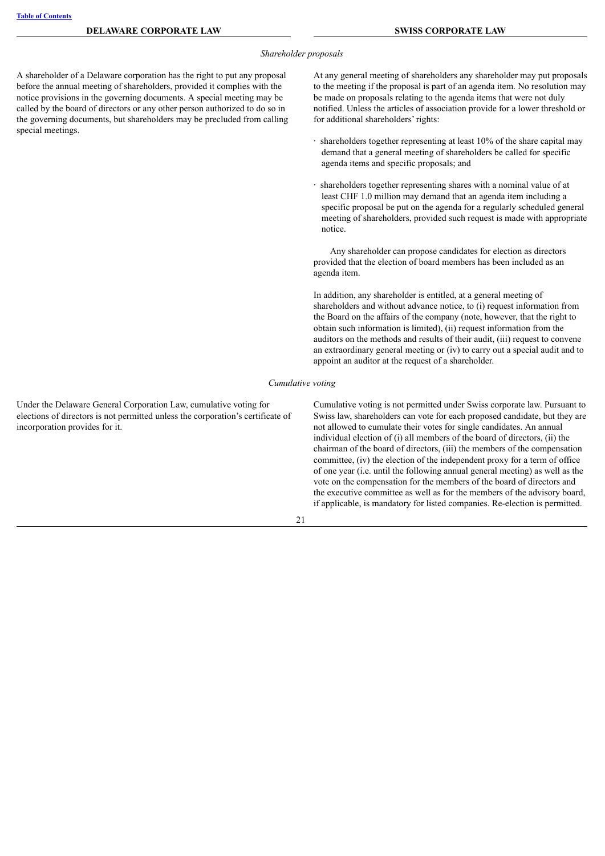#### *Shareholder proposals*

A shareholder of a Delaware corporation has the right to put any proposal before the annual meeting of shareholders, provided it complies with the notice provisions in the governing documents. A special meeting may be called by the board of directors or any other person authorized to do so in the governing documents, but shareholders may be precluded from calling special meetings.

At any general meeting of shareholders any shareholder may put proposals to the meeting if the proposal is part of an agenda item. No resolution may be made on proposals relating to the agenda items that were not duly notified. Unless the articles of association provide for a lower threshold or for additional shareholders' rights:

- · shareholders together representing at least 10% of the share capital may demand that a general meeting of shareholders be called for specific agenda items and specific proposals; and
- · shareholders together representing shares with a nominal value of at least CHF 1.0 million may demand that an agenda item including a specific proposal be put on the agenda for a regularly scheduled general meeting of shareholders, provided such request is made with appropriate notice.

Any shareholder can propose candidates for election as directors provided that the election of board members has been included as an agenda item.

In addition, any shareholder is entitled, at a general meeting of shareholders and without advance notice, to (i) request information from the Board on the affairs of the company (note, however, that the right to obtain such information is limited), (ii) request information from the auditors on the methods and results of their audit, (iii) request to convene an extraordinary general meeting or (iv) to carry out a special audit and to appoint an auditor at the request of a shareholder.

#### *Cumulative voting*

Under the Delaware General Corporation Law, cumulative voting for elections of directors is not permitted unless the corporation's certificate of incorporation provides for it.

Cumulative voting is not permitted under Swiss corporate law. Pursuant to Swiss law, shareholders can vote for each proposed candidate, but they are not allowed to cumulate their votes for single candidates. An annual individual election of (i) all members of the board of directors, (ii) the chairman of the board of directors, (iii) the members of the compensation committee, (iv) the election of the independent proxy for a term of office of one year (i.e. until the following annual general meeting) as well as the vote on the compensation for the members of the board of directors and the executive committee as well as for the members of the advisory board, if applicable, is mandatory for listed companies. Re-election is permitted.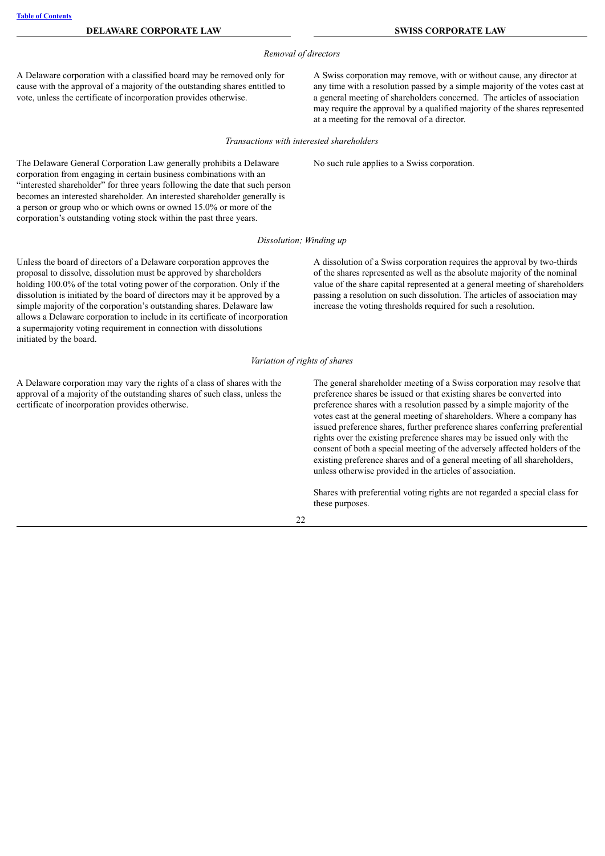**DELAWARE CORPORATE LAW SWISS CORPORATE LAW**

#### *Removal of directors*

A Delaware corporation with a classified board may be removed only for cause with the approval of a majority of the outstanding shares entitled to vote, unless the certificate of incorporation provides otherwise.

The Delaware General Corporation Law generally prohibits a Delaware corporation from engaging in certain business combinations with an

A Swiss corporation may remove, with or without cause, any director at any time with a resolution passed by a simple majority of the votes cast at a general meeting of shareholders concerned. The articles of association may require the approval by a qualified majority of the shares represented at a meeting for the removal of a director.

*Transactions with interested shareholders*

No such rule applies to a Swiss corporation.

"interested shareholder" for three years following the date that such person becomes an interested shareholder. An interested shareholder generally is a person or group who or which owns or owned 15.0% or more of the corporation's outstanding voting stock within the past three years.

#### *Dissolution; Winding up*

Unless the board of directors of a Delaware corporation approves the proposal to dissolve, dissolution must be approved by shareholders holding 100.0% of the total voting power of the corporation. Only if the dissolution is initiated by the board of directors may it be approved by a simple majority of the corporation's outstanding shares. Delaware law allows a Delaware corporation to include in its certificate of incorporation a supermajority voting requirement in connection with dissolutions initiated by the board.

A dissolution of a Swiss corporation requires the approval by two-thirds of the shares represented as well as the absolute majority of the nominal value of the share capital represented at a general meeting of shareholders passing a resolution on such dissolution. The articles of association may increase the voting thresholds required for such a resolution.

#### *Variation of rights of shares*

A Delaware corporation may vary the rights of a class of shares with the approval of a majority of the outstanding shares of such class, unless the certificate of incorporation provides otherwise.

The general shareholder meeting of a Swiss corporation may resolve that preference shares be issued or that existing shares be converted into preference shares with a resolution passed by a simple majority of the votes cast at the general meeting of shareholders. Where a company has issued preference shares, further preference shares conferring preferential rights over the existing preference shares may be issued only with the consent of both a special meeting of the adversely affected holders of the existing preference shares and of a general meeting of all shareholders, unless otherwise provided in the articles of association.

Shares with preferential voting rights are not regarded a special class for these purposes.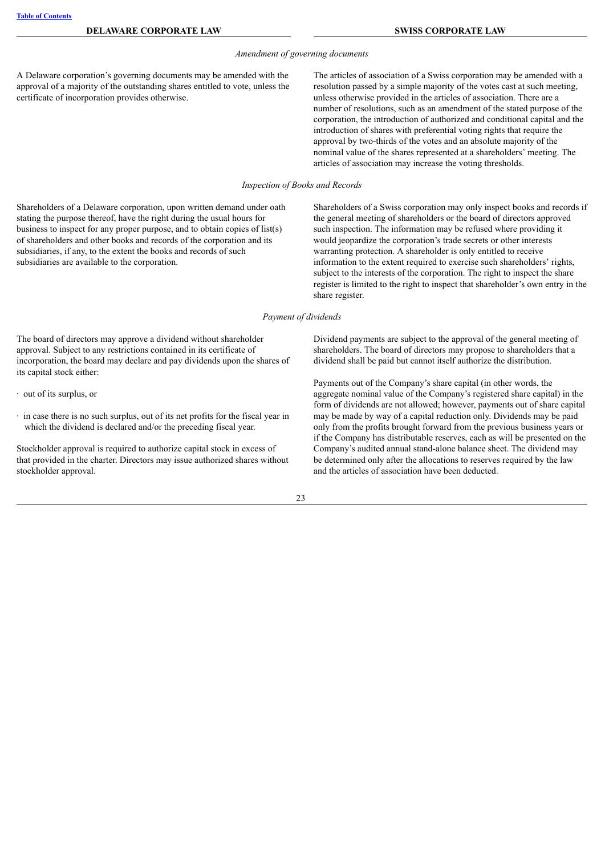#### *Amendment of governing documents*

A Delaware corporation's governing documents may be amended with the approval of a majority of the outstanding shares entitled to vote, unless the certificate of incorporation provides otherwise.

The articles of association of a Swiss corporation may be amended with a resolution passed by a simple majority of the votes cast at such meeting, unless otherwise provided in the articles of association. There are a number of resolutions, such as an amendment of the stated purpose of the corporation, the introduction of authorized and conditional capital and the introduction of shares with preferential voting rights that require the approval by two-thirds of the votes and an absolute majority of the nominal value of the shares represented at a shareholders' meeting. The articles of association may increase the voting thresholds.

*Inspection of Books and Records*

Shareholders of a Delaware corporation, upon written demand under oath stating the purpose thereof, have the right during the usual hours for business to inspect for any proper purpose, and to obtain copies of list(s) of shareholders and other books and records of the corporation and its subsidiaries, if any, to the extent the books and records of such subsidiaries are available to the corporation.

Shareholders of a Swiss corporation may only inspect books and records if the general meeting of shareholders or the board of directors approved such inspection. The information may be refused where providing it would jeopardize the corporation's trade secrets or other interests warranting protection. A shareholder is only entitled to receive information to the extent required to exercise such shareholders' rights, subject to the interests of the corporation. The right to inspect the share register is limited to the right to inspect that shareholder's own entry in the share register.

#### *Payment of dividends*

The board of directors may approve a dividend without shareholder approval. Subject to any restrictions contained in its certificate of incorporation, the board may declare and pay dividends upon the shares of its capital stock either:

- · out of its surplus, or
- · in case there is no such surplus, out of its net profits for the fiscal year in which the dividend is declared and/or the preceding fiscal year.

Stockholder approval is required to authorize capital stock in excess of that provided in the charter. Directors may issue authorized shares without stockholder approval.

Dividend payments are subject to the approval of the general meeting of shareholders. The board of directors may propose to shareholders that a dividend shall be paid but cannot itself authorize the distribution.

Payments out of the Company's share capital (in other words, the aggregate nominal value of the Company's registered share capital) in the form of dividends are not allowed; however, payments out of share capital may be made by way of a capital reduction only. Dividends may be paid only from the profits brought forward from the previous business years or if the Company has distributable reserves, each as will be presented on the Company's audited annual stand-alone balance sheet. The dividend may be determined only after the allocations to reserves required by the law and the articles of association have been deducted.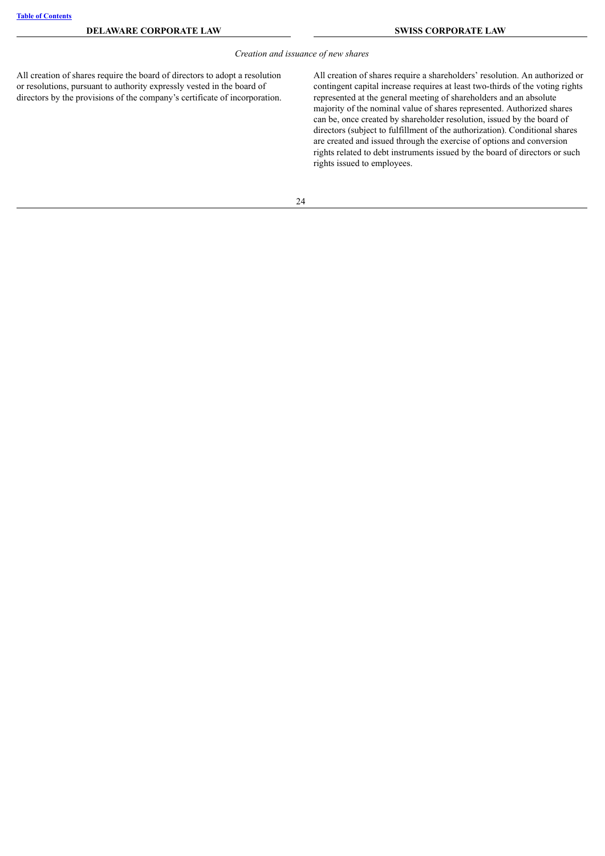#### *Creation and issuance of new shares*

All creation of shares require the board of directors to adopt a resolution or resolutions, pursuant to authority expressly vested in the board of directors by the provisions of the company's certificate of incorporation. All creation of shares require a shareholders' resolution. An authorized or contingent capital increase requires at least two-thirds of the voting rights represented at the general meeting of shareholders and an absolute majority of the nominal value of shares represented. Authorized shares can be, once created by shareholder resolution, issued by the board of directors (subject to fulfillment of the authorization). Conditional shares are created and issued through the exercise of options and conversion rights related to debt instruments issued by the board of directors or such rights issued to employees.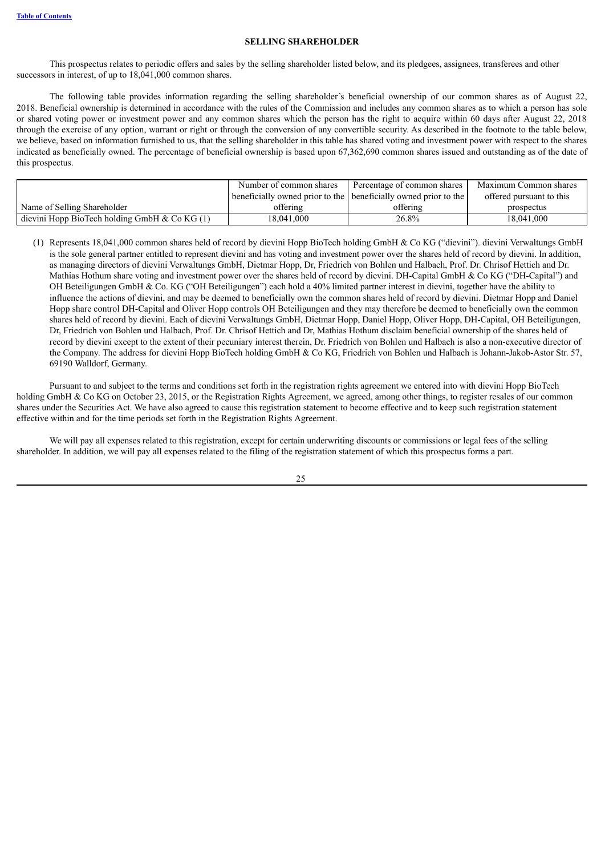#### **SELLING SHAREHOLDER**

This prospectus relates to periodic offers and sales by the selling shareholder listed below, and its pledgees, assignees, transferees and other successors in interest, of up to  $18,041,000$  common shares.

The following table provides information regarding the selling shareholder's beneficial ownership of our common shares as of August 22, 2018. Beneficial ownership is determined in accordance with the rules of the Commission and includes any common shares as to which a person has sole or shared voting power or investment power and any common shares which the person has the right to acquire within 60 days after August 22, 2018 through the exercise of any option, warrant or right or through the conversion of any convertible security. As described in the footnote to the table below, we believe, based on information furnished to us, that the selling shareholder in this table has shared voting and investment power with respect to the shares indicated as beneficially owned. The percentage of beneficial ownership is based upon 67,362,690 common shares issued and outstanding as of the date of this prospectus.

|                                                  | Number of common shares | Percentage of common shares                                     | Maximum Common shares    |
|--------------------------------------------------|-------------------------|-----------------------------------------------------------------|--------------------------|
|                                                  |                         | beneficially owned prior to the beneficially owned prior to the | offered pursuant to this |
| Name of Selling Shareholder                      | offering                | offering                                                        | prospectus               |
| dievini Hopp BioTech holding GmbH $\&$ Co KG (1) | 18.041.000              | 26.8%                                                           | 18.041.000               |

(1) Represents 18,041,000 common shares held of record by dievini Hopp BioTech holding GmbH & Co KG ("dievini"). dievini Verwaltungs GmbH is the sole general partner entitled to represent dievini and has voting and investment power over the shares held of record by dievini. In addition, as managing directors of dievini Verwaltungs GmbH, Dietmar Hopp, Dr, Friedrich von Bohlen und Halbach, Prof. Dr. Chrisof Hettich and Dr. Mathias Hothum share voting and investment power over the shares held of record by dievini. DH-Capital GmbH & Co KG ("DH-Capital") and OH Beteiligungen GmbH & Co. KG ("OH Beteiligungen") each hold a 40% limited partner interest in dievini, together have the ability to influence the actions of dievini, and may be deemed to beneficially own the common shares held of record by dievini. Dietmar Hopp and Daniel Hopp share control DH-Capital and Oliver Hopp controls OH Beteiligungen and they may therefore be deemed to beneficially own the common shares held of record by dievini. Each of dievini Verwaltungs GmbH, Dietmar Hopp, Daniel Hopp, Oliver Hopp, DH-Capital, OH Beteiligungen, Dr, Friedrich von Bohlen und Halbach, Prof. Dr. Chrisof Hettich and Dr, Mathias Hothum disclaim beneficial ownership of the shares held of record by dievini except to the extent of their pecuniary interest therein, Dr. Friedrich von Bohlen und Halbach is also a non-executive director of the Company. The address for dievini Hopp BioTech holding GmbH & Co KG, Friedrich von Bohlen und Halbach is Johann-Jakob-Astor Str. 57, 69190 Walldorf, Germany.

Pursuant to and subject to the terms and conditions set forth in the registration rights agreement we entered into with dievini Hopp BioTech holding GmbH & Co KG on October 23, 2015, or the Registration Rights Agreement, we agreed, among other things, to register resales of our common shares under the Securities Act. We have also agreed to cause this registration statement to become effective and to keep such registration statement effective within and for the time periods set forth in the Registration Rights Agreement.

We will pay all expenses related to this registration, except for certain underwriting discounts or commissions or legal fees of the selling shareholder. In addition, we will pay all expenses related to the filing of the registration statement of which this prospectus forms a part.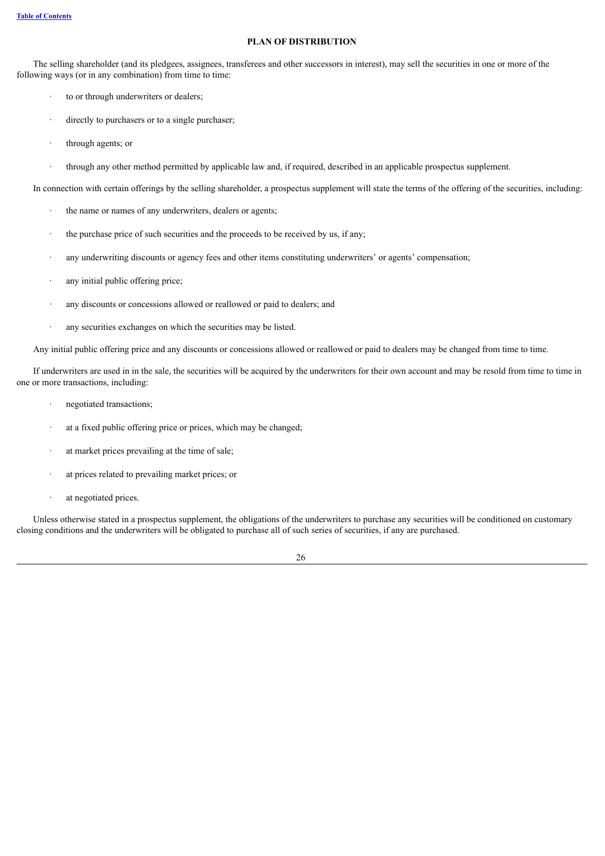#### **PLAN OF DISTRIBUTION**

<span id="page-33-0"></span>The selling shareholder (and its pledgees, assignees, transferees and other successors in interest), may sell the securities in one or more of the following ways (or in any combination) from time to time:

- to or through underwriters or dealers;
- · directly to purchasers or to a single purchaser;
- through agents; or
- · through any other method permitted by applicable law and, if required, described in an applicable prospectus supplement.

In connection with certain offerings by the selling shareholder, a prospectus supplement will state the terms of the offering of the securities, including:

- the name or names of any underwriters, dealers or agents;
- the purchase price of such securities and the proceeds to be received by us, if any;
- · any underwriting discounts or agency fees and other items constituting underwriters' or agents' compensation;
- any initial public offering price;
- any discounts or concessions allowed or reallowed or paid to dealers; and
- · any securities exchanges on which the securities may be listed.

Any initial public offering price and any discounts or concessions allowed or reallowed or paid to dealers may be changed from time to time.

If underwriters are used in in the sale, the securities will be acquired by the underwriters for their own account and may be resold from time to time in one or more transactions, including:

- negotiated transactions;
- at a fixed public offering price or prices, which may be changed;
- at market prices prevailing at the time of sale;
- at prices related to prevailing market prices; or
- · at negotiated prices.

Unless otherwise stated in a prospectus supplement, the obligations of the underwriters to purchase any securities will be conditioned on customary closing conditions and the underwriters will be obligated to purchase all of such series of securities, if any are purchased.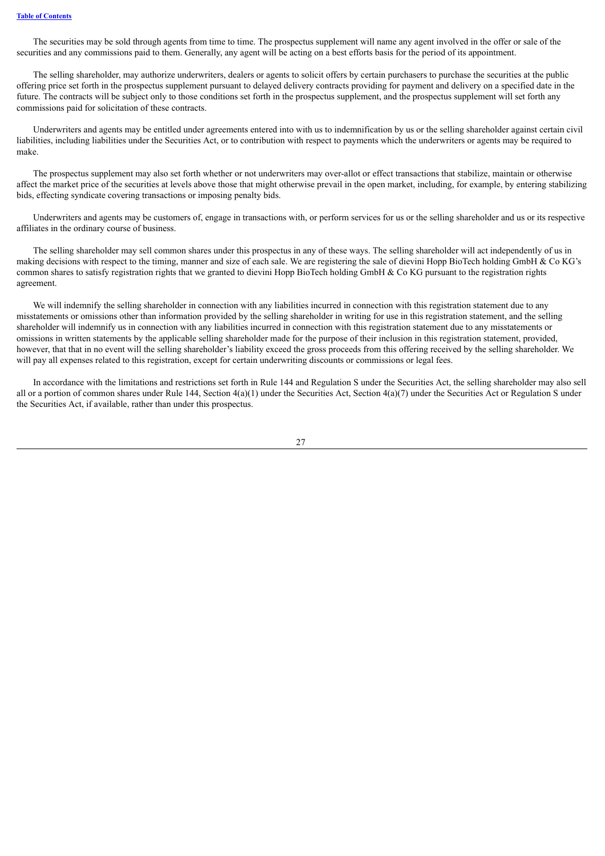The securities may be sold through agents from time to time. The prospectus supplement will name any agent involved in the offer or sale of the securities and any commissions paid to them. Generally, any agent will be acting on a best efforts basis for the period of its appointment.

The selling shareholder, may authorize underwriters, dealers or agents to solicit offers by certain purchasers to purchase the securities at the public offering price set forth in the prospectus supplement pursuant to delayed delivery contracts providing for payment and delivery on a specified date in the future. The contracts will be subject only to those conditions set forth in the prospectus supplement, and the prospectus supplement will set forth any commissions paid for solicitation of these contracts.

Underwriters and agents may be entitled under agreements entered into with us to indemnification by us or the selling shareholder against certain civil liabilities, including liabilities under the Securities Act, or to contribution with respect to payments which the underwriters or agents may be required to make.

The prospectus supplement may also set forth whether or not underwriters may over-allot or effect transactions that stabilize, maintain or otherwise affect the market price of the securities at levels above those that might otherwise prevail in the open market, including, for example, by entering stabilizing bids, effecting syndicate covering transactions or imposing penalty bids.

Underwriters and agents may be customers of, engage in transactions with, or perform services for us or the selling shareholder and us or its respective affiliates in the ordinary course of business.

The selling shareholder may sell common shares under this prospectus in any of these ways. The selling shareholder will act independently of us in making decisions with respect to the timing, manner and size of each sale. We are registering the sale of dievini Hopp BioTech holding GmbH & Co KG's common shares to satisfy registration rights that we granted to dievini Hopp BioTech holding GmbH & Co KG pursuant to the registration rights agreement.

We will indemnify the selling shareholder in connection with any liabilities incurred in connection with this registration statement due to any misstatements or omissions other than information provided by the selling shareholder in writing for use in this registration statement, and the selling shareholder will indemnify us in connection with any liabilities incurred in connection with this registration statement due to any misstatements or omissions in written statements by the applicable selling shareholder made for the purpose of their inclusion in this registration statement, provided, however, that that in no event will the selling shareholder's liability exceed the gross proceeds from this offering received by the selling shareholder. We will pay all expenses related to this registration, except for certain underwriting discounts or commissions or legal fees.

In accordance with the limitations and restrictions set forth in Rule 144 and Regulation S under the Securities Act, the selling shareholder may also sell all or a portion of common shares under Rule 144, Section  $4(a)(1)$  under the Securities Act, Section  $4(a)(7)$  under the Securities Act or Regulation S under the Securities Act, if available, rather than under this prospectus.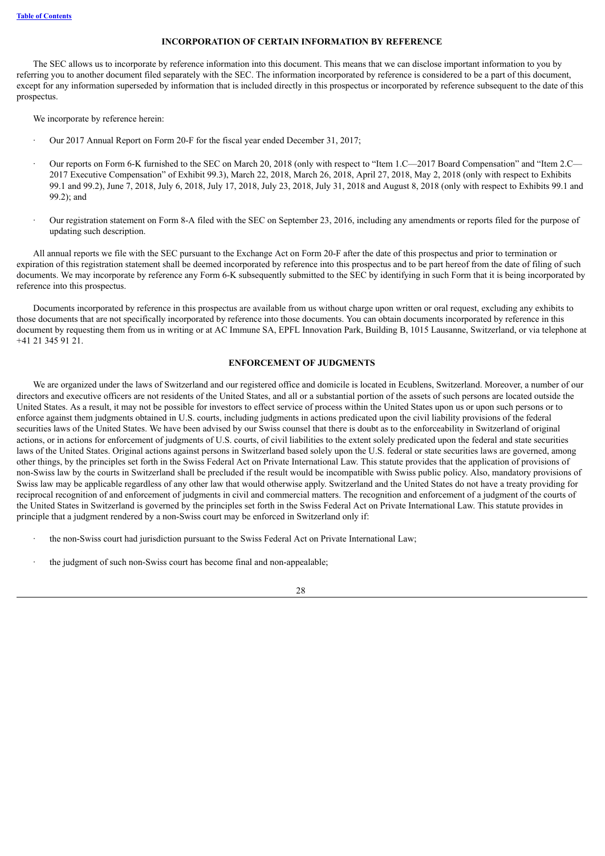#### **INCORPORATION OF CERTAIN INFORMATION BY REFERENCE**

<span id="page-35-0"></span>The SEC allows us to incorporate by reference information into this document. This means that we can disclose important information to you by referring you to another document filed separately with the SEC. The information incorporated by reference is considered to be a part of this document, except for any information superseded by information that is included directly in this prospectus or incorporated by reference subsequent to the date of this prospectus.

We incorporate by reference herein:

- · Our 2017 Annual Report on Form 20-F for the fiscal year ended December 31, 2017;
- · Our reports on Form 6-K furnished to the SEC on March 20, 2018 (only with respect to "Item 1.C—2017 Board Compensation" and "Item 2.C— 2017 Executive Compensation" of Exhibit 99.3), March 22, 2018, March 26, 2018, April 27, 2018, May 2, 2018 (only with respect to Exhibits 99.1 and 99.2), June 7, 2018, July 6, 2018, July 17, 2018, July 23, 2018, July 31, 2018 and August 8, 2018 (only with respect to Exhibits 99.1 and 99.2); and
- · Our registration statement on Form 8-A filed with the SEC on September 23, 2016, including any amendments or reports filed for the purpose of updating such description.

All annual reports we file with the SEC pursuant to the Exchange Act on Form 20-F after the date of this prospectus and prior to termination or expiration of this registration statement shall be deemed incorporated by reference into this prospectus and to be part hereof from the date of filing of such documents. We may incorporate by reference any Form 6-K subsequently submitted to the SEC by identifying in such Form that it is being incorporated by reference into this prospectus.

Documents incorporated by reference in this prospectus are available from us without charge upon written or oral request, excluding any exhibits to those documents that are not specifically incorporated by reference into those documents. You can obtain documents incorporated by reference in this document by requesting them from us in writing or at AC Immune SA, EPFL Innovation Park, Building B, 1015 Lausanne, Switzerland, or via telephone at +41 21 345 91 21.

#### **ENFORCEMENT OF JUDGMENTS**

<span id="page-35-1"></span>We are organized under the laws of Switzerland and our registered office and domicile is located in Ecublens, Switzerland. Moreover, a number of our directors and executive officers are not residents of the United States, and all or a substantial portion of the assets of such persons are located outside the United States. As a result, it may not be possible for investors to effect service of process within the United States upon us or upon such persons or to enforce against them judgments obtained in U.S. courts, including judgments in actions predicated upon the civil liability provisions of the federal securities laws of the United States. We have been advised by our Swiss counsel that there is doubt as to the enforceability in Switzerland of original actions, or in actions for enforcement of judgments of U.S. courts, of civil liabilities to the extent solely predicated upon the federal and state securities laws of the United States. Original actions against persons in Switzerland based solely upon the U.S. federal or state securities laws are governed, among other things, by the principles set forth in the Swiss Federal Act on Private International Law. This statute provides that the application of provisions of non-Swiss law by the courts in Switzerland shall be precluded if the result would be incompatible with Swiss public policy. Also, mandatory provisions of Swiss law may be applicable regardless of any other law that would otherwise apply. Switzerland and the United States do not have a treaty providing for reciprocal recognition of and enforcement of judgments in civil and commercial matters. The recognition and enforcement of a judgment of the courts of the United States in Switzerland is governed by the principles set forth in the Swiss Federal Act on Private International Law. This statute provides in principle that a judgment rendered by a non-Swiss court may be enforced in Switzerland only if:

- the non-Swiss court had jurisdiction pursuant to the Swiss Federal Act on Private International Law;
- the judgment of such non-Swiss court has become final and non-appealable;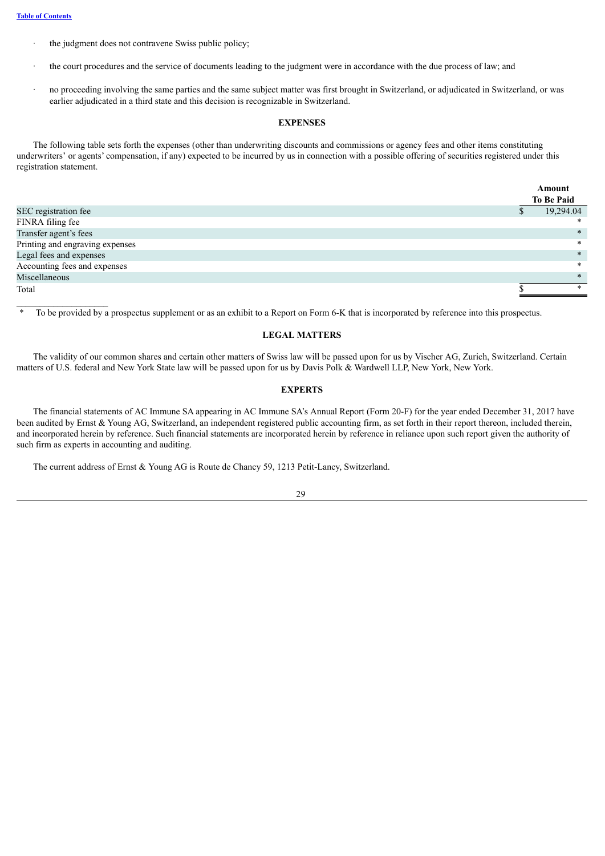- the judgment does not contravene Swiss public policy;
- the court procedures and the service of documents leading to the judgment were in accordance with the due process of law; and
- · no proceeding involving the same parties and the same subject matter was first brought in Switzerland, or adjudicated in Switzerland, or was earlier adjudicated in a third state and this decision is recognizable in Switzerland.

#### **EXPENSES**

<span id="page-36-0"></span>The following table sets forth the expenses (other than underwriting discounts and commissions or agency fees and other items constituting underwriters' or agents' compensation, if any) expected to be incurred by us in connection with a possible offering of securities registered under this registration statement.

|                                 | Amount |                   |
|---------------------------------|--------|-------------------|
|                                 |        | <b>To Be Paid</b> |
| SEC registration fee            |        | 19,294.04         |
| FINRA filing fee                |        | ∗                 |
| Transfer agent's fees           |        | $\ast$            |
| Printing and engraving expenses |        | $\ast$            |
| Legal fees and expenses         |        | $\ast$            |
| Accounting fees and expenses    |        | $\ast$            |
| Miscellaneous                   |        | $\ast$            |
| Total                           |        | *                 |

<span id="page-36-1"></span>\* To be provided by a prospectus supplement or as an exhibit to a Report on Form 6-K that is incorporated by reference into this prospectus.

#### **LEGAL MATTERS**

The validity of our common shares and certain other matters of Swiss law will be passed upon for us by Vischer AG, Zurich, Switzerland. Certain matters of U.S. federal and New York State law will be passed upon for us by Davis Polk & Wardwell LLP, New York, New York.

#### **EXPERTS**

<span id="page-36-2"></span>The financial statements of AC Immune SA appearing in AC Immune SA's Annual Report (Form 20-F) for the year ended December 31, 2017 have been audited by Ernst & Young AG, Switzerland, an independent registered public accounting firm, as set forth in their report thereon, included therein, and incorporated herein by reference. Such financial statements are incorporated herein by reference in reliance upon such report given the authority of such firm as experts in accounting and auditing.

The current address of Ernst & Young AG is Route de Chancy 59, 1213 Petit-Lancy, Switzerland.